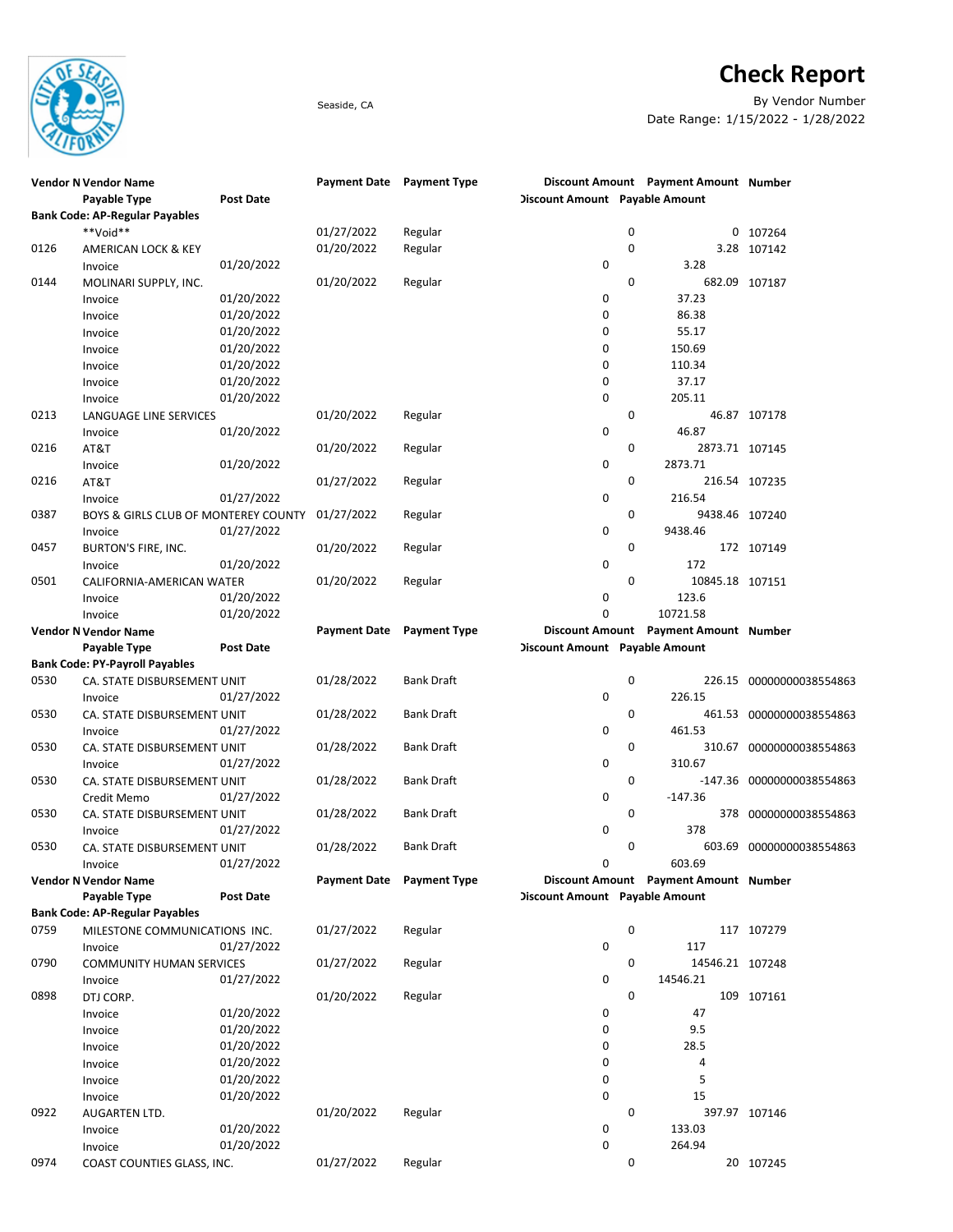

## Check Report

Seaside, CA By Vendor Number Date Range: 1/15/2022 - 1/28/2022

|      | <b>Vendor N Vendor Name</b>           |                  |                     | Payment Date Payment Type |                                |             | Discount Amount Payment Amount Number |                           |
|------|---------------------------------------|------------------|---------------------|---------------------------|--------------------------------|-------------|---------------------------------------|---------------------------|
|      | Payable Type                          | <b>Post Date</b> |                     |                           | Discount Amount Payable Amount |             |                                       |                           |
|      | <b>Bank Code: AP-Regular Payables</b> |                  |                     |                           |                                |             |                                       |                           |
|      | **Void**                              |                  | 01/27/2022          | Regular                   |                                | 0           |                                       | 0 107264                  |
| 0126 | AMERICAN LOCK & KEY                   |                  | 01/20/2022          | Regular                   |                                | $\mathbf 0$ |                                       | 3.28 107142               |
|      | Invoice                               | 01/20/2022       |                     |                           | 0                              |             | 3.28                                  |                           |
| 0144 | MOLINARI SUPPLY, INC.                 |                  | 01/20/2022          | Regular                   |                                | 0           |                                       | 682.09 107187             |
|      |                                       |                  |                     |                           | 0                              |             | 37.23                                 |                           |
|      | Invoice                               | 01/20/2022       |                     |                           |                                |             |                                       |                           |
|      | Invoice                               | 01/20/2022       |                     |                           | 0                              |             | 86.38                                 |                           |
|      | Invoice                               | 01/20/2022       |                     |                           | 0                              |             | 55.17                                 |                           |
|      | Invoice                               | 01/20/2022       |                     |                           | 0                              |             | 150.69                                |                           |
|      | Invoice                               | 01/20/2022       |                     |                           | 0                              |             | 110.34                                |                           |
|      | Invoice                               | 01/20/2022       |                     |                           | 0                              |             | 37.17                                 |                           |
|      | Invoice                               | 01/20/2022       |                     |                           | 0                              |             | 205.11                                |                           |
| 0213 | LANGUAGE LINE SERVICES                |                  | 01/20/2022          | Regular                   |                                | 0           |                                       | 46.87 107178              |
|      | Invoice                               | 01/20/2022       |                     |                           | 0                              |             | 46.87                                 |                           |
| 0216 | AT&T                                  |                  | 01/20/2022          | Regular                   |                                | 0           | 2873.71 107145                        |                           |
|      | Invoice                               | 01/20/2022       |                     |                           | 0                              |             | 2873.71                               |                           |
| 0216 | AT&T                                  |                  | 01/27/2022          | Regular                   |                                | 0           |                                       | 216.54 107235             |
|      |                                       | 01/27/2022       |                     |                           | 0                              |             | 216.54                                |                           |
|      | Invoice                               |                  |                     |                           |                                |             |                                       |                           |
| 0387 | BOYS & GIRLS CLUB OF MONTEREY COUNTY  |                  | 01/27/2022          | Regular                   |                                | 0           | 9438.46 107240                        |                           |
|      | Invoice                               | 01/27/2022       |                     |                           | 0                              |             | 9438.46                               |                           |
| 0457 | BURTON'S FIRE, INC.                   |                  | 01/20/2022          | Regular                   |                                | 0           |                                       | 172 107149                |
|      | Invoice                               | 01/20/2022       |                     |                           | 0                              |             | 172                                   |                           |
| 0501 | CALIFORNIA-AMERICAN WATER             |                  | 01/20/2022          | Regular                   |                                | 0           | 10845.18 107151                       |                           |
|      | Invoice                               | 01/20/2022       |                     |                           | 0                              |             | 123.6                                 |                           |
|      | Invoice                               | 01/20/2022       |                     |                           | 0                              |             | 10721.58                              |                           |
|      | <b>Vendor N Vendor Name</b>           |                  | <b>Payment Date</b> | <b>Payment Type</b>       |                                |             | Discount Amount Payment Amount Number |                           |
|      | Payable Type                          | <b>Post Date</b> |                     |                           | Discount Amount Payable Amount |             |                                       |                           |
|      | <b>Bank Code: PY-Payroll Payables</b> |                  |                     |                           |                                |             |                                       |                           |
| 0530 | CA. STATE DISBURSEMENT UNIT           |                  | 01/28/2022          | <b>Bank Draft</b>         |                                | 0           |                                       | 226.15 00000000038554863  |
|      |                                       |                  |                     |                           | 0                              |             | 226.15                                |                           |
|      | Invoice                               | 01/27/2022       |                     |                           |                                |             |                                       |                           |
| 0530 | CA. STATE DISBURSEMENT UNIT           |                  | 01/28/2022          | <b>Bank Draft</b>         |                                | 0           |                                       | 461.53 00000000038554863  |
|      | Invoice                               | 01/27/2022       |                     |                           | 0                              |             | 461.53                                |                           |
| 0530 | CA. STATE DISBURSEMENT UNIT           |                  | 01/28/2022          | <b>Bank Draft</b>         |                                | 0           |                                       | 310.67 00000000038554863  |
|      | Invoice                               | 01/27/2022       |                     |                           | 0                              |             | 310.67                                |                           |
| 0530 | CA. STATE DISBURSEMENT UNIT           |                  | 01/28/2022          | <b>Bank Draft</b>         |                                | 0           |                                       | -147.36 00000000038554863 |
|      | Credit Memo                           | 01/27/2022       |                     |                           | 0                              |             | $-147.36$                             |                           |
| 0530 | CA. STATE DISBURSEMENT UNIT           |                  | 01/28/2022          | <b>Bank Draft</b>         |                                | 0           |                                       | 378 00000000038554863     |
|      | Invoice                               | 01/27/2022       |                     |                           | 0                              |             | 378                                   |                           |
| 0530 | CA. STATE DISBURSEMENT UNIT           |                  | 01/28/2022          | <b>Bank Draft</b>         |                                | 0           | 603.69                                | 00000000038554863         |
|      | Invoice                               | 01/27/2022       |                     |                           | 0                              |             | 603.69                                |                           |
|      | <b>Vendor N Vendor Name</b>           |                  |                     | Payment Date Payment Type |                                |             | Discount Amount Payment Amount Number |                           |
|      | Payable Type                          | <b>Post Date</b> |                     |                           | Discount Amount Payable Amount |             |                                       |                           |
|      | <b>Bank Code: AP-Regular Payables</b> |                  |                     |                           |                                |             |                                       |                           |
| 0759 |                                       |                  | 01/27/2022          |                           |                                | 0           |                                       |                           |
|      | MILESTONE COMMUNICATIONS INC.         |                  |                     | Regular                   |                                |             |                                       | 117 107279                |
|      | Invoice                               | 01/27/2022       |                     |                           | 0                              |             | 117                                   |                           |
| 0790 | <b>COMMUNITY HUMAN SERVICES</b>       |                  | 01/27/2022          | Regular                   |                                | 0           | 14546.21 107248                       |                           |
|      | Invoice                               | 01/27/2022       |                     |                           | 0                              |             | 14546.21                              |                           |
| 0898 | DTJ CORP.                             |                  | 01/20/2022          | Regular                   |                                | 0           |                                       | 109 107161                |
|      | Invoice                               | 01/20/2022       |                     |                           | 0                              |             | 47                                    |                           |
|      | Invoice                               | 01/20/2022       |                     |                           | 0                              |             | 9.5                                   |                           |
|      | Invoice                               | 01/20/2022       |                     |                           | 0                              |             | 28.5                                  |                           |
|      | Invoice                               | 01/20/2022       |                     |                           | 0                              |             | 4                                     |                           |
|      | Invoice                               | 01/20/2022       |                     |                           | 0                              |             | 5                                     |                           |
|      | Invoice                               | 01/20/2022       |                     |                           | 0                              |             | 15                                    |                           |
| 0922 |                                       |                  |                     |                           |                                | 0           |                                       | 397.97 107146             |
|      | AUGARTEN LTD.                         |                  | 01/20/2022          | Regular                   |                                |             |                                       |                           |
|      | Invoice                               | 01/20/2022       |                     |                           | 0                              |             | 133.03                                |                           |
|      | Invoice                               | 01/20/2022       |                     |                           | 0                              |             | 264.94                                |                           |
| 0974 | COAST COUNTIES GLASS, INC.            |                  | 01/27/2022          | Regular                   |                                | 0           |                                       | 20 107245                 |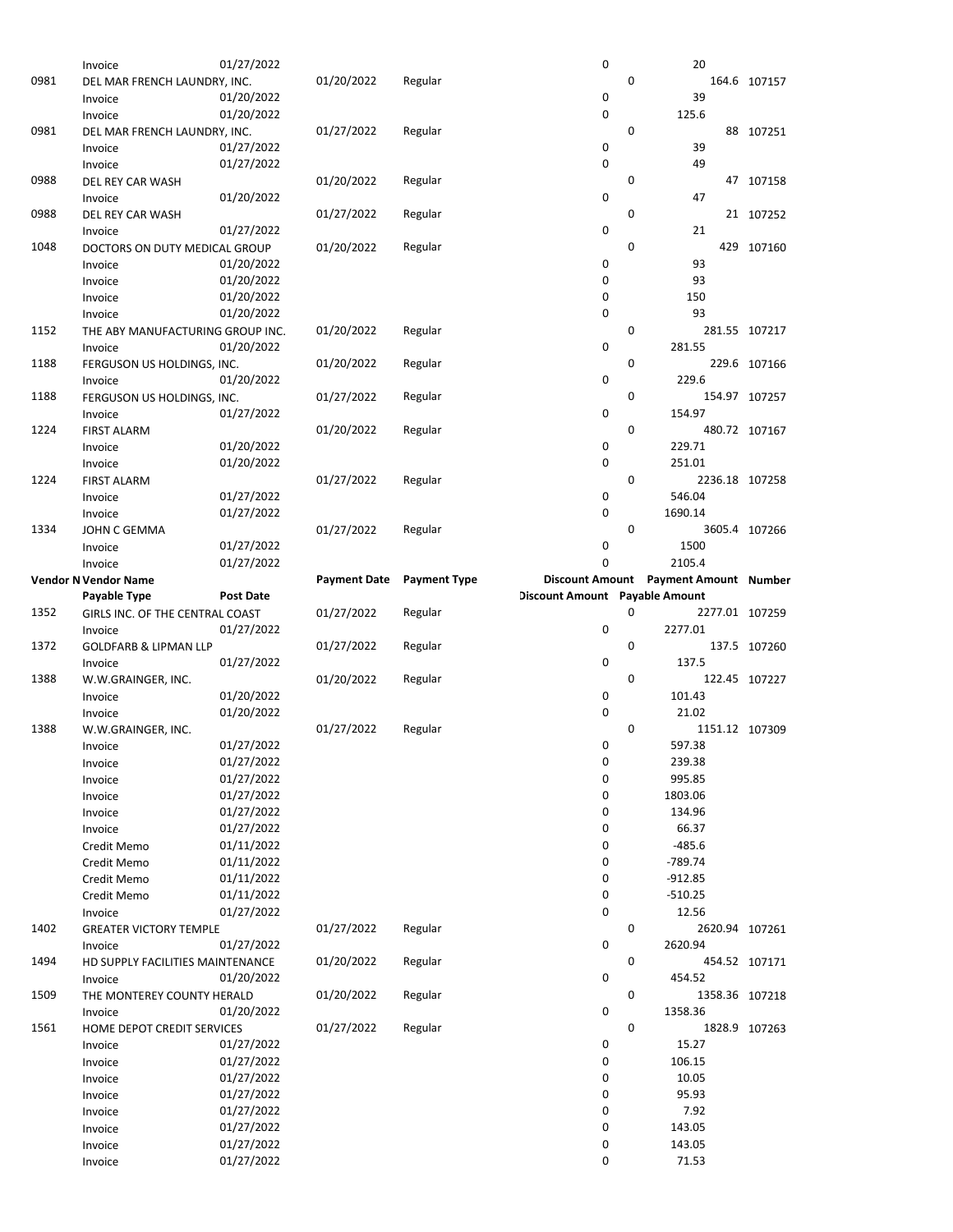|      | Invoice                               | 01/27/2022       |                     |                     | 0                              |             | 20                           |               |
|------|---------------------------------------|------------------|---------------------|---------------------|--------------------------------|-------------|------------------------------|---------------|
| 0981 | DEL MAR FRENCH LAUNDRY, INC.          |                  | 01/20/2022          | Regular             |                                | $\mathbf 0$ |                              | 164.6 107157  |
|      | Invoice                               | 01/20/2022       |                     |                     | 0                              |             | 39                           |               |
|      | Invoice                               | 01/20/2022       |                     |                     | 0                              |             | 125.6                        |               |
| 0981 | DEL MAR FRENCH LAUNDRY, INC.          |                  | 01/27/2022          | Regular             |                                | 0           |                              | 88 107251     |
|      | Invoice                               | 01/27/2022       |                     |                     | 0                              |             | 39                           |               |
|      | Invoice                               | 01/27/2022       |                     |                     | 0                              |             | 49                           |               |
| 0988 | DEL REY CAR WASH                      |                  | 01/20/2022          | Regular             |                                | 0           |                              | 47 107158     |
|      | Invoice                               | 01/20/2022       |                     |                     | 0                              |             | 47                           |               |
| 0988 | DEL REY CAR WASH                      |                  | 01/27/2022          | Regular             |                                | 0           |                              | 21 107252     |
|      | Invoice                               | 01/27/2022       |                     |                     | 0                              |             | 21                           |               |
| 1048 | DOCTORS ON DUTY MEDICAL GROUP         |                  | 01/20/2022          | Regular             |                                | $\mathbf 0$ |                              | 429 107160    |
|      | Invoice                               | 01/20/2022       |                     |                     | 0                              |             | 93                           |               |
|      | Invoice                               | 01/20/2022       |                     |                     | 0                              |             | 93                           |               |
|      | Invoice                               | 01/20/2022       |                     |                     | 0                              |             | 150                          |               |
|      | Invoice                               | 01/20/2022       |                     |                     | 0                              |             | 93                           |               |
| 1152 | THE ABY MANUFACTURING GROUP INC.      |                  | 01/20/2022          | Regular             |                                | 0           |                              | 281.55 107217 |
|      | Invoice                               | 01/20/2022       |                     |                     | 0                              |             | 281.55                       |               |
| 1188 | FERGUSON US HOLDINGS, INC.            |                  | 01/20/2022          | Regular             |                                | 0           |                              | 229.6 107166  |
|      | Invoice                               | 01/20/2022       |                     |                     | 0                              |             | 229.6                        |               |
| 1188 | FERGUSON US HOLDINGS, INC.            |                  | 01/27/2022          | Regular             |                                | 0           |                              | 154.97 107257 |
|      | Invoice                               | 01/27/2022       |                     |                     | 0                              |             | 154.97                       |               |
| 1224 | <b>FIRST ALARM</b>                    |                  | 01/20/2022          | Regular             |                                | 0           |                              | 480.72 107167 |
|      | Invoice                               | 01/20/2022       |                     |                     | 0                              |             | 229.71                       |               |
|      | Invoice                               | 01/20/2022       |                     |                     | $\mathbf 0$                    |             | 251.01                       |               |
| 1224 | <b>FIRST ALARM</b>                    |                  | 01/27/2022          | Regular             |                                | 0           | 2236.18 107258               |               |
|      | Invoice                               | 01/27/2022       |                     |                     | 0                              |             | 546.04                       |               |
|      | Invoice                               | 01/27/2022       |                     |                     | 0                              |             | 1690.14                      |               |
| 1334 | JOHN C GEMMA                          |                  | 01/27/2022          | Regular             |                                | 0           |                              | 3605.4 107266 |
|      | Invoice                               | 01/27/2022       |                     |                     | 0                              |             | 1500                         |               |
|      | Invoice                               | 01/27/2022       |                     |                     | $\mathbf 0$                    |             | 2105.4                       |               |
|      | <b>Vendor N Vendor Name</b>           |                  | <b>Payment Date</b> | <b>Payment Type</b> | <b>Discount Amount</b>         |             | <b>Payment Amount Number</b> |               |
|      | Payable Type                          | <b>Post Date</b> |                     |                     | Discount Amount Payable Amount |             |                              |               |
|      |                                       |                  |                     |                     |                                |             |                              |               |
| 1352 | GIRLS INC. OF THE CENTRAL COAST       |                  | 01/27/2022          | Regular             |                                | 0           | 2277.01 107259               |               |
|      | Invoice                               | 01/27/2022       |                     |                     | 0                              |             | 2277.01                      |               |
| 1372 | <b>GOLDFARB &amp; LIPMAN LLP</b>      |                  | 01/27/2022          | Regular             |                                | 0           |                              | 137.5 107260  |
|      | Invoice                               | 01/27/2022       |                     |                     | 0                              |             | 137.5                        |               |
| 1388 | W.W.GRAINGER, INC.                    |                  | 01/20/2022          | Regular             |                                | 0           |                              | 122.45 107227 |
|      | Invoice                               | 01/20/2022       |                     |                     | 0                              |             | 101.43                       |               |
|      | Invoice                               | 01/20/2022       |                     |                     | 0                              |             | 21.02                        |               |
| 1388 | W.W.GRAINGER, INC.                    |                  | 01/27/2022          | Regular             |                                | 0           | 1151.12 107309               |               |
|      | Invoice                               | 01/27/2022       |                     |                     | 0                              |             | 597.38                       |               |
|      | Invoice                               | 01/27/2022       |                     |                     | 0                              |             | 239.38                       |               |
|      | Invoice                               | 01/27/2022       |                     |                     | 0                              |             | 995.85                       |               |
|      | Invoice                               | 01/27/2022       |                     |                     | 0                              |             | 1803.06                      |               |
|      | Invoice                               | 01/27/2022       |                     |                     | 0                              |             | 134.96                       |               |
|      | Invoice                               | 01/27/2022       |                     |                     | 0                              |             | 66.37                        |               |
|      | Credit Memo                           | 01/11/2022       |                     |                     | 0                              |             | $-485.6$                     |               |
|      | Credit Memo                           | 01/11/2022       |                     |                     | 0                              |             | $-789.74$                    |               |
|      | Credit Memo                           | 01/11/2022       |                     |                     | 0                              |             | $-912.85$                    |               |
|      | Credit Memo                           | 01/11/2022       |                     |                     | 0                              |             | $-510.25$                    |               |
|      | Invoice                               | 01/27/2022       |                     |                     | 0                              |             | 12.56                        |               |
| 1402 | <b>GREATER VICTORY TEMPLE</b>         |                  | 01/27/2022          | Regular             |                                | 0           | 2620.94 107261               |               |
|      | Invoice                               | 01/27/2022       |                     |                     | 0                              |             | 2620.94                      |               |
| 1494 | HD SUPPLY FACILITIES MAINTENANCE      |                  | 01/20/2022          | Regular             |                                | 0           |                              | 454.52 107171 |
|      | Invoice                               | 01/20/2022       |                     |                     | 0                              | 0           | 454.52                       |               |
| 1509 | THE MONTEREY COUNTY HERALD            |                  | 01/20/2022          | Regular             |                                |             | 1358.36 107218               |               |
| 1561 | Invoice<br>HOME DEPOT CREDIT SERVICES | 01/20/2022       | 01/27/2022          | Regular             | 0                              | 0           | 1358.36                      | 1828.9 107263 |
|      | Invoice                               | 01/27/2022       |                     |                     | 0                              |             | 15.27                        |               |
|      | Invoice                               | 01/27/2022       |                     |                     | 0                              |             | 106.15                       |               |
|      | Invoice                               | 01/27/2022       |                     |                     | 0                              |             | 10.05                        |               |
|      | Invoice                               | 01/27/2022       |                     |                     | 0                              |             | 95.93                        |               |
|      | Invoice                               | 01/27/2022       |                     |                     | 0                              |             | 7.92                         |               |
|      | Invoice                               | 01/27/2022       |                     |                     | 0                              |             | 143.05                       |               |
|      | Invoice                               | 01/27/2022       |                     |                     | 0                              |             | 143.05                       |               |
|      | Invoice                               | 01/27/2022       |                     |                     | 0                              |             | 71.53                        |               |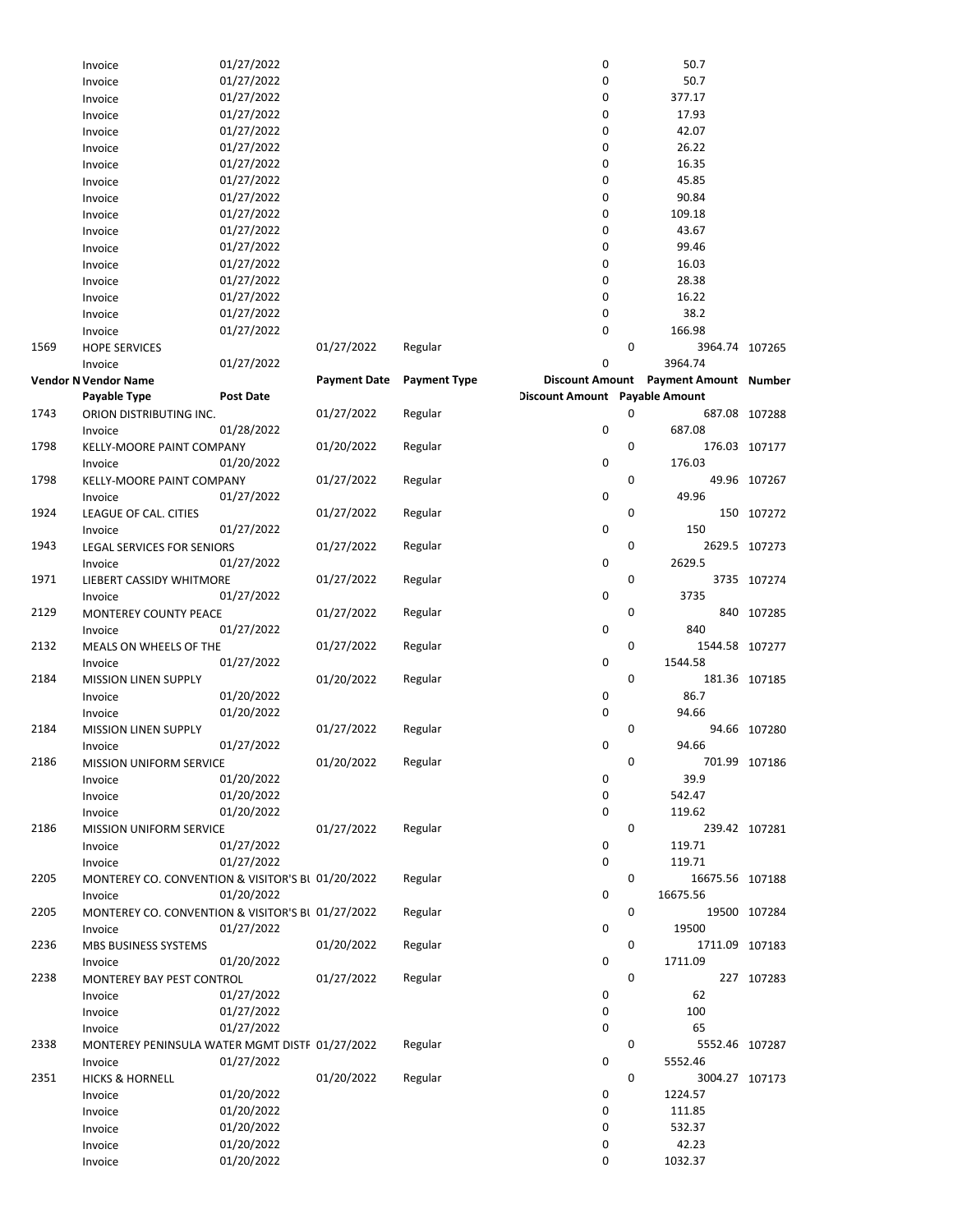|      | Invoice                                           | 01/27/2022       |                     |                     | 0                              |   | 50.7                                  |               |
|------|---------------------------------------------------|------------------|---------------------|---------------------|--------------------------------|---|---------------------------------------|---------------|
|      | Invoice                                           | 01/27/2022       |                     |                     | 0                              |   | 50.7                                  |               |
|      | Invoice                                           | 01/27/2022       |                     |                     | 0                              |   | 377.17                                |               |
|      | Invoice                                           | 01/27/2022       |                     |                     | 0                              |   | 17.93                                 |               |
|      | Invoice                                           | 01/27/2022       |                     |                     | 0                              |   | 42.07                                 |               |
|      | Invoice                                           | 01/27/2022       |                     |                     | 0                              |   | 26.22                                 |               |
|      | Invoice                                           | 01/27/2022       |                     |                     | 0                              |   | 16.35                                 |               |
|      | Invoice                                           | 01/27/2022       |                     |                     | 0                              |   | 45.85                                 |               |
|      | Invoice                                           | 01/27/2022       |                     |                     | 0                              |   | 90.84                                 |               |
|      | Invoice                                           | 01/27/2022       |                     |                     | 0                              |   | 109.18                                |               |
|      | Invoice                                           | 01/27/2022       |                     |                     | 0                              |   | 43.67                                 |               |
|      | Invoice                                           | 01/27/2022       |                     |                     | 0                              |   | 99.46                                 |               |
|      | Invoice                                           | 01/27/2022       |                     |                     | 0                              |   | 16.03                                 |               |
|      | Invoice                                           | 01/27/2022       |                     |                     | 0                              |   | 28.38                                 |               |
|      | Invoice                                           | 01/27/2022       |                     |                     | 0                              |   | 16.22                                 |               |
|      | Invoice                                           | 01/27/2022       |                     |                     | 0                              |   | 38.2                                  |               |
|      | Invoice                                           | 01/27/2022       |                     |                     | 0                              |   | 166.98                                |               |
| 1569 | <b>HOPE SERVICES</b>                              |                  | 01/27/2022          | Regular             |                                | 0 | 3964.74 107265                        |               |
|      |                                                   | 01/27/2022       |                     |                     | 0                              |   | 3964.74                               |               |
|      | Invoice                                           |                  |                     |                     |                                |   | Discount Amount Payment Amount Number |               |
|      | <b>Vendor N Vendor Name</b>                       | <b>Post Date</b> | <b>Payment Date</b> | <b>Payment Type</b> | Discount Amount Payable Amount |   |                                       |               |
|      | Payable Type                                      |                  |                     |                     |                                |   |                                       |               |
| 1743 | ORION DISTRIBUTING INC.                           |                  | 01/27/2022          | Regular             |                                | 0 |                                       | 687.08 107288 |
|      | Invoice                                           | 01/28/2022       |                     |                     | 0                              |   | 687.08                                |               |
| 1798 | KELLY-MOORE PAINT COMPANY                         |                  | 01/20/2022          | Regular             |                                | 0 |                                       | 176.03 107177 |
|      | Invoice                                           | 01/20/2022       |                     |                     | 0                              |   | 176.03                                |               |
| 1798 | <b>KELLY-MOORE PAINT COMPANY</b>                  |                  | 01/27/2022          | Regular             |                                | 0 |                                       | 49.96 107267  |
|      | Invoice                                           | 01/27/2022       |                     |                     | 0                              |   | 49.96                                 |               |
| 1924 | LEAGUE OF CAL. CITIES                             |                  | 01/27/2022          | Regular             |                                | 0 |                                       | 150 107272    |
|      | Invoice                                           | 01/27/2022       |                     |                     | 0                              |   | 150                                   |               |
| 1943 | LEGAL SERVICES FOR SENIORS                        |                  | 01/27/2022          | Regular             |                                | 0 |                                       | 2629.5 107273 |
|      | Invoice                                           | 01/27/2022       |                     |                     | 0                              |   | 2629.5                                |               |
| 1971 | LIEBERT CASSIDY WHITMORE                          |                  | 01/27/2022          | Regular             |                                | 0 |                                       | 3735 107274   |
|      | Invoice                                           | 01/27/2022       |                     |                     | 0                              |   | 3735                                  |               |
| 2129 | MONTEREY COUNTY PEACE                             |                  | 01/27/2022          | Regular             |                                | 0 |                                       | 840 107285    |
|      | Invoice                                           | 01/27/2022       |                     |                     | 0                              |   | 840                                   |               |
| 2132 | MEALS ON WHEELS OF THE                            |                  | 01/27/2022          | Regular             |                                | 0 | 1544.58 107277                        |               |
|      | Invoice                                           | 01/27/2022       |                     |                     | 0                              |   | 1544.58                               |               |
| 2184 | <b>MISSION LINEN SUPPLY</b>                       |                  | 01/20/2022          | Regular             |                                | 0 |                                       | 181.36 107185 |
|      | Invoice                                           | 01/20/2022       |                     |                     | 0                              |   | 86.7                                  |               |
|      | Invoice                                           | 01/20/2022       |                     |                     | 0                              |   | 94.66                                 |               |
| 2184 | <b>MISSION LINEN SUPPLY</b>                       |                  | 01/27/2022          | Regular             |                                | 0 |                                       | 94.66 107280  |
|      | Invoice                                           | 01/27/2022       |                     |                     | 0                              |   | 94.66                                 |               |
| 2186 | MISSION UNIFORM SERVICE                           |                  | 01/20/2022          | Regular             |                                | 0 |                                       | 701.99 107186 |
|      | Invoice                                           | 01/20/2022       |                     |                     | 0                              |   | 39.9                                  |               |
|      | Invoice                                           | 01/20/2022       |                     |                     | 0                              |   | 542.47                                |               |
|      | Invoice                                           | 01/20/2022       |                     |                     | 0                              |   | 119.62                                |               |
| 2186 | <b>MISSION UNIFORM SERVICE</b>                    |                  | 01/27/2022          | Regular             |                                | 0 |                                       | 239.42 107281 |
|      | Invoice                                           | 01/27/2022       |                     |                     | 0                              |   | 119.71                                |               |
|      | Invoice                                           | 01/27/2022       |                     |                     | 0                              |   | 119.71                                |               |
| 2205 | MONTEREY CO. CONVENTION & VISITOR'S BI 01/20/2022 |                  |                     | Regular             |                                | 0 | 16675.56 107188                       |               |
|      | Invoice                                           | 01/20/2022       |                     |                     | 0                              |   | 16675.56                              |               |
| 2205 | MONTEREY CO. CONVENTION & VISITOR'S BI 01/27/2022 |                  |                     | Regular             |                                | 0 |                                       | 19500 107284  |
|      | Invoice                                           | 01/27/2022       |                     |                     | 0                              |   | 19500                                 |               |
| 2236 | MBS BUSINESS SYSTEMS                              |                  | 01/20/2022          | Regular             |                                | 0 | 1711.09 107183                        |               |
|      | Invoice                                           | 01/20/2022       |                     |                     | 0                              |   | 1711.09                               |               |
| 2238 | MONTEREY BAY PEST CONTROL                         |                  | 01/27/2022          | Regular             |                                | 0 |                                       | 227 107283    |
|      | Invoice                                           | 01/27/2022       |                     |                     | 0                              |   | 62                                    |               |
|      | Invoice                                           | 01/27/2022       |                     |                     | 0                              |   | 100                                   |               |
|      | Invoice                                           | 01/27/2022       |                     |                     | 0                              |   | 65                                    |               |
| 2338 | MONTEREY PENINSULA WATER MGMT DISTF 01/27/2022    |                  |                     | Regular             |                                | 0 | 5552.46 107287                        |               |
|      | Invoice                                           | 01/27/2022       |                     |                     | 0                              |   | 5552.46                               |               |
| 2351 | <b>HICKS &amp; HORNELL</b>                        |                  | 01/20/2022          | Regular             |                                | 0 | 3004.27 107173                        |               |
|      | Invoice                                           | 01/20/2022       |                     |                     | 0                              |   | 1224.57                               |               |
|      | Invoice                                           | 01/20/2022       |                     |                     | 0                              |   | 111.85                                |               |
|      | Invoice                                           | 01/20/2022       |                     |                     | 0                              |   | 532.37                                |               |
|      | Invoice                                           | 01/20/2022       |                     |                     | 0                              |   | 42.23                                 |               |
|      | Invoice                                           | 01/20/2022       |                     |                     | 0                              |   | 1032.37                               |               |
|      |                                                   |                  |                     |                     |                                |   |                                       |               |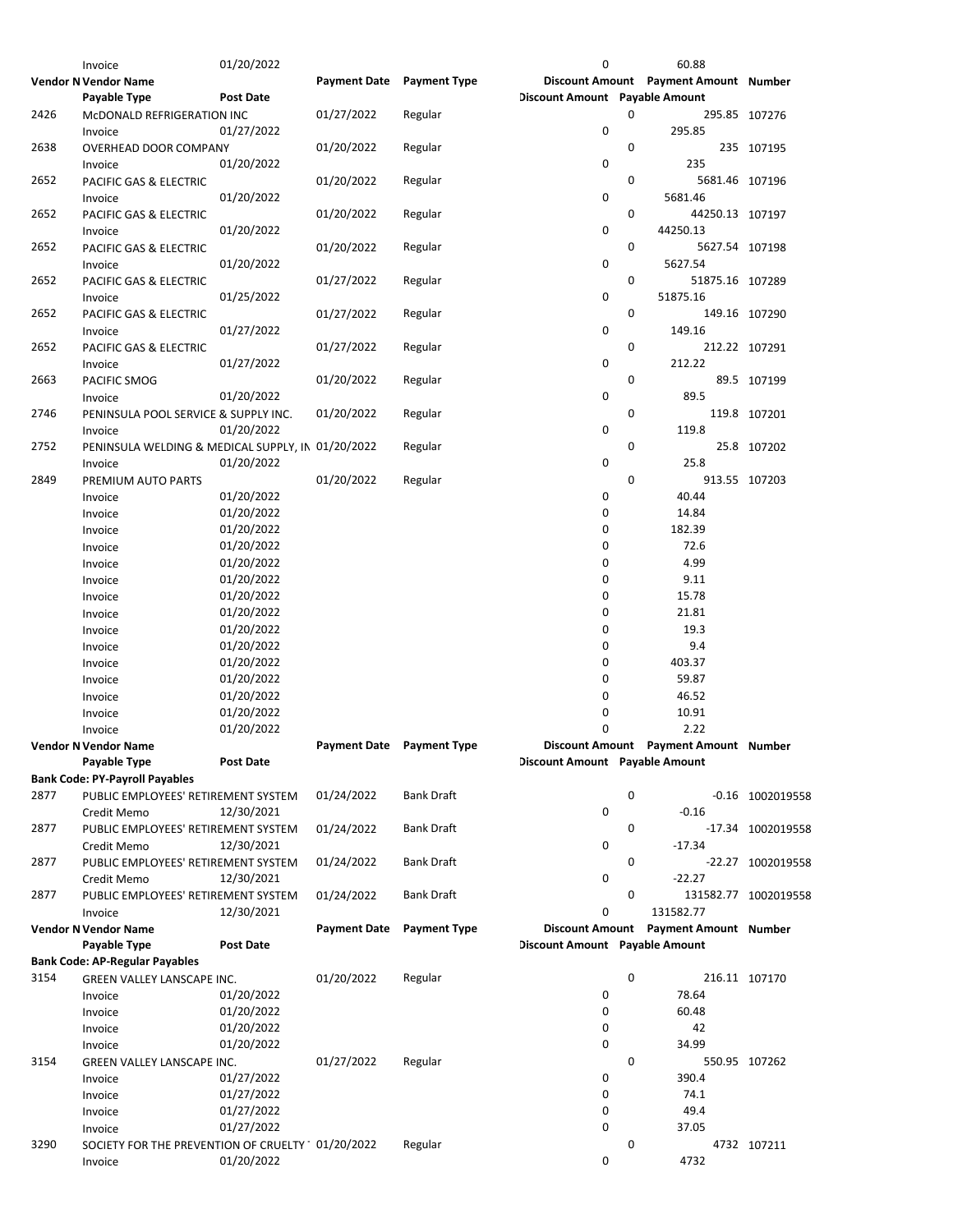|      | Invoice                                           | 01/20/2022       |                                  |                     | 0                              |             | 60.88                                 |                      |
|------|---------------------------------------------------|------------------|----------------------------------|---------------------|--------------------------------|-------------|---------------------------------------|----------------------|
|      | <b>Vendor N Vendor Name</b>                       |                  | <b>Payment Date</b>              | <b>Payment Type</b> |                                |             | Discount Amount Payment Amount Number |                      |
|      | Payable Type                                      | <b>Post Date</b> |                                  |                     | Discount Amount Payable Amount |             |                                       |                      |
| 2426 | MCDONALD REFRIGERATION INC                        |                  | 01/27/2022                       | Regular             |                                | 0           |                                       | 295.85 107276        |
|      | Invoice                                           | 01/27/2022       |                                  |                     | 0                              |             | 295.85                                |                      |
| 2638 | OVERHEAD DOOR COMPANY                             |                  | 01/20/2022                       | Regular             |                                | 0           |                                       | 235 107195           |
|      | Invoice                                           | 01/20/2022       |                                  |                     | 0                              |             | 235                                   |                      |
| 2652 | PACIFIC GAS & ELECTRIC                            |                  | 01/20/2022                       | Regular             |                                | 0           | 5681.46 107196                        |                      |
|      | Invoice                                           | 01/20/2022       |                                  |                     | 0                              |             | 5681.46                               |                      |
| 2652 | <b>PACIFIC GAS &amp; ELECTRIC</b>                 |                  | 01/20/2022                       | Regular             |                                | 0           | 44250.13 107197                       |                      |
|      | Invoice                                           | 01/20/2022       |                                  |                     | 0                              |             | 44250.13                              |                      |
| 2652 | PACIFIC GAS & ELECTRIC                            |                  | 01/20/2022                       | Regular             |                                | 0           | 5627.54 107198                        |                      |
|      | Invoice                                           | 01/20/2022       |                                  |                     | 0                              |             | 5627.54                               |                      |
| 2652 | PACIFIC GAS & ELECTRIC                            |                  | 01/27/2022                       | Regular             |                                | 0           | 51875.16 107289                       |                      |
|      | Invoice                                           | 01/25/2022       |                                  |                     | 0                              |             | 51875.16                              |                      |
| 2652 |                                                   |                  | 01/27/2022                       |                     |                                | 0           |                                       | 149.16 107290        |
|      | PACIFIC GAS & ELECTRIC                            | 01/27/2022       |                                  | Regular             | 0                              |             | 149.16                                |                      |
|      | Invoice                                           |                  |                                  |                     |                                | 0           |                                       |                      |
| 2652 | PACIFIC GAS & ELECTRIC                            |                  | 01/27/2022                       | Regular             | 0                              |             | 212.22                                | 212.22 107291        |
|      | Invoice                                           | 01/27/2022       |                                  |                     |                                |             |                                       |                      |
| 2663 | PACIFIC SMOG                                      |                  | 01/20/2022                       | Regular             |                                | 0           |                                       | 89.5 107199          |
|      | Invoice                                           | 01/20/2022       |                                  |                     | 0                              |             | 89.5                                  |                      |
| 2746 | PENINSULA POOL SERVICE & SUPPLY INC.              |                  | 01/20/2022                       | Regular             |                                | 0           |                                       | 119.8 107201         |
|      | Invoice                                           | 01/20/2022       |                                  |                     | 0                              |             | 119.8                                 |                      |
| 2752 | PENINSULA WELDING & MEDICAL SUPPLY, IN 01/20/2022 |                  |                                  | Regular             |                                | 0           |                                       | 25.8 107202          |
|      | Invoice                                           | 01/20/2022       |                                  |                     | 0                              |             | 25.8                                  |                      |
| 2849 | PREMIUM AUTO PARTS                                |                  | 01/20/2022                       | Regular             |                                | $\mathbf 0$ |                                       | 913.55 107203        |
|      | Invoice                                           | 01/20/2022       |                                  |                     | 0                              |             | 40.44                                 |                      |
|      | Invoice                                           | 01/20/2022       |                                  |                     | 0                              |             | 14.84                                 |                      |
|      | Invoice                                           | 01/20/2022       |                                  |                     | 0                              |             | 182.39                                |                      |
|      | Invoice                                           | 01/20/2022       |                                  |                     | 0                              |             | 72.6                                  |                      |
|      | Invoice                                           | 01/20/2022       |                                  |                     | 0                              |             | 4.99                                  |                      |
|      | Invoice                                           | 01/20/2022       |                                  |                     | 0                              |             | 9.11                                  |                      |
|      | Invoice                                           | 01/20/2022       |                                  |                     | 0                              |             | 15.78                                 |                      |
|      | Invoice                                           | 01/20/2022       |                                  |                     | 0                              |             | 21.81                                 |                      |
|      | Invoice                                           | 01/20/2022       |                                  |                     | 0                              |             | 19.3                                  |                      |
|      | Invoice                                           | 01/20/2022       |                                  |                     | $\mathbf 0$                    |             | 9.4                                   |                      |
|      | Invoice                                           | 01/20/2022       |                                  |                     | 0                              |             | 403.37                                |                      |
|      | Invoice                                           | 01/20/2022       |                                  |                     | 0                              |             | 59.87                                 |                      |
|      | Invoice                                           | 01/20/2022       |                                  |                     | 0                              |             | 46.52                                 |                      |
|      | Invoice                                           | 01/20/2022       |                                  |                     | 0                              |             | 10.91                                 |                      |
|      | Invoice                                           | 01/20/2022       |                                  |                     | 0                              |             | 2.22                                  |                      |
|      | <b>Vendor N Vendor Name</b>                       |                  | <b>Payment Date</b> Payment Type |                     |                                |             | Discount Amount Payment Amount Number |                      |
|      | Payable Type                                      | <b>Post Date</b> |                                  |                     | Discount Amount Payable Amount |             |                                       |                      |
|      | <b>Bank Code: PY-Payroll Payables</b>             |                  |                                  |                     |                                |             |                                       |                      |
| 2877 | PUBLIC EMPLOYEES' RETIREMENT SYSTEM               |                  | 01/24/2022                       | <b>Bank Draft</b>   |                                | 0           |                                       | -0.16 1002019558     |
|      | Credit Memo                                       | 12/30/2021       |                                  |                     | 0                              |             | $-0.16$                               |                      |
| 2877 | PUBLIC EMPLOYEES' RETIREMENT SYSTEM               |                  | 01/24/2022                       | <b>Bank Draft</b>   |                                | 0           |                                       | -17.34 1002019558    |
|      | Credit Memo                                       | 12/30/2021       |                                  |                     | 0                              |             | $-17.34$                              |                      |
| 2877 | PUBLIC EMPLOYEES' RETIREMENT SYSTEM               |                  | 01/24/2022                       | <b>Bank Draft</b>   |                                | 0           |                                       | -22.27 1002019558    |
|      | Credit Memo                                       | 12/30/2021       |                                  |                     | 0                              |             | $-22.27$                              |                      |
| 2877 | PUBLIC EMPLOYEES' RETIREMENT SYSTEM               |                  | 01/24/2022                       | <b>Bank Draft</b>   |                                | 0           |                                       | 131582.77 1002019558 |
|      | Invoice                                           | 12/30/2021       |                                  |                     | 0                              |             | 131582.77                             |                      |
|      | <b>Vendor N Vendor Name</b>                       |                  | <b>Payment Date</b>              | <b>Payment Type</b> |                                |             | Discount Amount Payment Amount Number |                      |
|      | <b>Payable Type</b>                               | <b>Post Date</b> |                                  |                     | Discount Amount Payable Amount |             |                                       |                      |
|      | <b>Bank Code: AP-Regular Payables</b>             |                  |                                  |                     |                                |             |                                       |                      |
| 3154 | GREEN VALLEY LANSCAPE INC.                        |                  | 01/20/2022                       | Regular             |                                | 0           |                                       | 216.11 107170        |
|      | Invoice                                           | 01/20/2022       |                                  |                     | 0                              |             | 78.64                                 |                      |
|      | Invoice                                           | 01/20/2022       |                                  |                     | 0                              |             | 60.48                                 |                      |
|      | Invoice                                           | 01/20/2022       |                                  |                     | 0                              |             | 42                                    |                      |
|      | Invoice                                           | 01/20/2022       |                                  |                     | 0                              |             | 34.99                                 |                      |
| 3154 | GREEN VALLEY LANSCAPE INC.                        |                  | 01/27/2022                       | Regular             |                                | 0           |                                       | 550.95 107262        |
|      | Invoice                                           | 01/27/2022       |                                  |                     | 0                              |             | 390.4                                 |                      |
|      | Invoice                                           | 01/27/2022       |                                  |                     | 0                              |             | 74.1                                  |                      |
|      | Invoice                                           | 01/27/2022       |                                  |                     | 0                              |             | 49.4                                  |                      |
|      | Invoice                                           | 01/27/2022       |                                  |                     | 0                              |             | 37.05                                 |                      |
| 3290 | SOCIETY FOR THE PREVENTION OF CRUELTY 01/20/2022  |                  |                                  | Regular             |                                | 0           |                                       | 4732 107211          |
|      | Invoice                                           | 01/20/2022       |                                  |                     | 0                              |             | 4732                                  |                      |
|      |                                                   |                  |                                  |                     |                                |             |                                       |                      |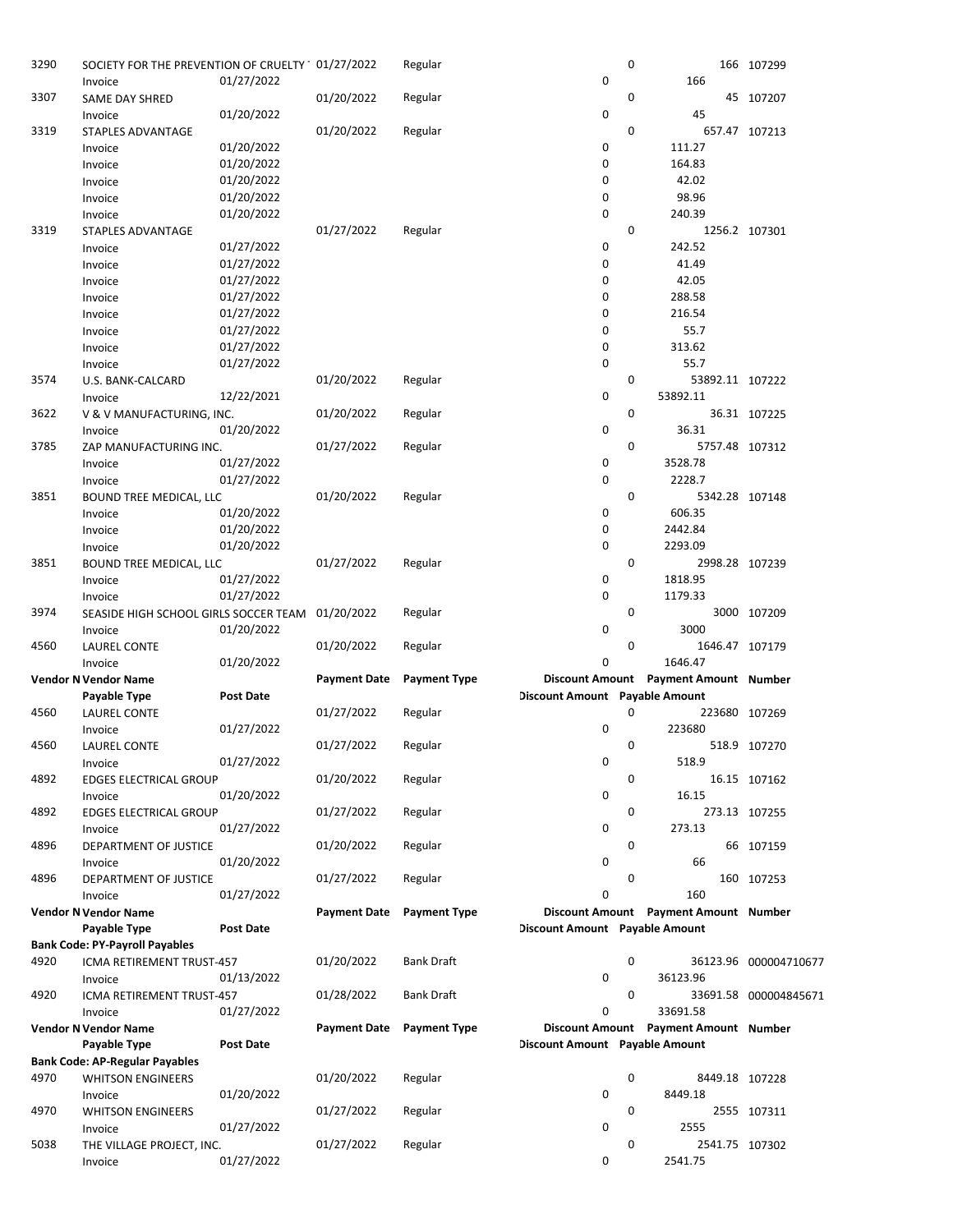| 3290 | SOCIETY FOR THE PREVENTION OF CRUELTY 01/27/2022 |                  |                     | Regular             |                                | 0 |                                       | 166 107299            |
|------|--------------------------------------------------|------------------|---------------------|---------------------|--------------------------------|---|---------------------------------------|-----------------------|
|      | Invoice                                          | 01/27/2022       |                     |                     | 0                              |   | 166                                   |                       |
| 3307 | SAME DAY SHRED                                   |                  | 01/20/2022          | Regular             |                                | 0 |                                       | 45 107207             |
|      | Invoice                                          | 01/20/2022       |                     |                     | 0                              |   | 45                                    |                       |
| 3319 | STAPLES ADVANTAGE                                |                  | 01/20/2022          | Regular             |                                | 0 |                                       | 657.47 107213         |
|      | Invoice                                          | 01/20/2022       |                     |                     | 0                              |   | 111.27                                |                       |
|      | Invoice                                          | 01/20/2022       |                     |                     | 0                              |   | 164.83                                |                       |
|      | Invoice                                          | 01/20/2022       |                     |                     | 0                              |   | 42.02                                 |                       |
|      | Invoice                                          | 01/20/2022       |                     |                     | 0                              |   | 98.96                                 |                       |
|      | Invoice                                          | 01/20/2022       |                     |                     | 0                              |   | 240.39                                |                       |
| 3319 |                                                  |                  |                     |                     |                                | 0 |                                       | 1256.2 107301         |
|      | STAPLES ADVANTAGE                                |                  | 01/27/2022          | Regular             | 0                              |   | 242.52                                |                       |
|      | Invoice                                          | 01/27/2022       |                     |                     |                                |   |                                       |                       |
|      | Invoice                                          | 01/27/2022       |                     |                     | 0                              |   | 41.49                                 |                       |
|      | Invoice                                          | 01/27/2022       |                     |                     | 0                              |   | 42.05                                 |                       |
|      | Invoice                                          | 01/27/2022       |                     |                     | 0                              |   | 288.58                                |                       |
|      | Invoice                                          | 01/27/2022       |                     |                     | 0                              |   | 216.54                                |                       |
|      | Invoice                                          | 01/27/2022       |                     |                     | 0                              |   | 55.7                                  |                       |
|      | Invoice                                          | 01/27/2022       |                     |                     | 0                              |   | 313.62                                |                       |
|      | Invoice                                          | 01/27/2022       |                     |                     | 0                              |   | 55.7                                  |                       |
| 3574 | U.S. BANK-CALCARD                                |                  | 01/20/2022          | Regular             |                                | 0 | 53892.11 107222                       |                       |
|      | Invoice                                          | 12/22/2021       |                     |                     | 0                              |   | 53892.11                              |                       |
| 3622 | V & V MANUFACTURING, INC.                        |                  | 01/20/2022          | Regular             |                                | 0 |                                       | 36.31 107225          |
|      | Invoice                                          | 01/20/2022       |                     |                     | 0                              |   | 36.31                                 |                       |
| 3785 | ZAP MANUFACTURING INC.                           |                  | 01/27/2022          | Regular             |                                | 0 | 5757.48 107312                        |                       |
|      | Invoice                                          | 01/27/2022       |                     |                     | 0                              |   | 3528.78                               |                       |
|      | Invoice                                          | 01/27/2022       |                     |                     | 0                              |   | 2228.7                                |                       |
| 3851 |                                                  |                  | 01/20/2022          | Regular             |                                | 0 | 5342.28 107148                        |                       |
|      | BOUND TREE MEDICAL, LLC                          | 01/20/2022       |                     |                     | 0                              |   | 606.35                                |                       |
|      | Invoice                                          |                  |                     |                     |                                |   |                                       |                       |
|      | Invoice                                          | 01/20/2022       |                     |                     | 0                              |   | 2442.84                               |                       |
|      | Invoice                                          | 01/20/2022       |                     |                     | 0                              |   | 2293.09                               |                       |
| 3851 | BOUND TREE MEDICAL, LLC                          |                  | 01/27/2022          | Regular             |                                | 0 | 2998.28 107239                        |                       |
|      | Invoice                                          | 01/27/2022       |                     |                     | 0                              |   | 1818.95                               |                       |
|      | Invoice                                          | 01/27/2022       |                     |                     | 0                              |   | 1179.33                               |                       |
| 3974 | SEASIDE HIGH SCHOOL GIRLS SOCCER TEAM            |                  | 01/20/2022          | Regular             |                                | 0 |                                       | 3000 107209           |
|      | Invoice                                          | 01/20/2022       |                     |                     | 0                              |   | 3000                                  |                       |
| 4560 | <b>LAUREL CONTE</b>                              |                  | 01/20/2022          | Regular             |                                | 0 | 1646.47 107179                        |                       |
|      | Invoice                                          | 01/20/2022       |                     |                     | 0                              |   | 1646.47                               |                       |
|      | <b>Vendor N Vendor Name</b>                      |                  | <b>Payment Date</b> | <b>Payment Type</b> |                                |   | Discount Amount Payment Amount Number |                       |
|      | Payable Type                                     | <b>Post Date</b> |                     |                     | Discount Amount Payable Amount |   |                                       |                       |
| 4560 | LAUREL CONTE                                     |                  | 01/27/2022          | Regular             |                                | 0 | 223680 107269                         |                       |
|      | Invoice                                          | 01/27/2022       |                     |                     | 0                              |   | 223680                                |                       |
| 4560 | <b>LAUREL CONTE</b>                              |                  | 01/27/2022          | Regular             |                                | 0 |                                       | 518.9 107270          |
|      | Invoice                                          | 01/27/2022       |                     |                     | 0                              |   | 518.9                                 |                       |
| 4892 | <b>EDGES ELECTRICAL GROUP</b>                    |                  | 01/20/2022          | Regular             |                                | 0 |                                       | 16.15 107162          |
|      | Invoice                                          | 01/20/2022       |                     |                     | 0                              |   | 16.15                                 |                       |
| 4892 |                                                  |                  | 01/27/2022          | Regular             |                                | 0 |                                       | 273.13 107255         |
|      | <b>EDGES ELECTRICAL GROUP</b>                    |                  |                     |                     | 0                              |   | 273.13                                |                       |
|      | Invoice                                          | 01/27/2022       |                     |                     |                                |   |                                       |                       |
| 4896 | DEPARTMENT OF JUSTICE                            |                  | 01/20/2022          | Regular             |                                | 0 |                                       | 66 107159             |
|      | Invoice                                          | 01/20/2022       |                     |                     | 0                              |   | 66                                    |                       |
| 4896 | DEPARTMENT OF JUSTICE                            |                  | 01/27/2022          | Regular             |                                | 0 |                                       | 160 107253            |
|      | Invoice                                          | 01/27/2022       |                     |                     | $\mathbf 0$                    |   | 160                                   |                       |
|      | <b>Vendor N Vendor Name</b>                      |                  | <b>Payment Date</b> | <b>Payment Type</b> |                                |   | Discount Amount Payment Amount Number |                       |
|      | Payable Type                                     | Post Date        |                     |                     | Discount Amount Payable Amount |   |                                       |                       |
|      | <b>Bank Code: PY-Payroll Payables</b>            |                  |                     |                     |                                |   |                                       |                       |
| 4920 | ICMA RETIREMENT TRUST-457                        |                  | 01/20/2022          | <b>Bank Draft</b>   |                                | 0 |                                       | 36123.96 000004710677 |
|      | Invoice                                          | 01/13/2022       |                     |                     | 0                              |   | 36123.96                              |                       |
| 4920 | ICMA RETIREMENT TRUST-457                        |                  | 01/28/2022          | <b>Bank Draft</b>   |                                | 0 |                                       | 33691.58 000004845671 |
|      | Invoice                                          | 01/27/2022       |                     |                     | 0                              |   | 33691.58                              |                       |
|      | <b>Vendor N Vendor Name</b>                      |                  | <b>Payment Date</b> | <b>Payment Type</b> |                                |   | Discount Amount Payment Amount Number |                       |
|      | Payable Type                                     | Post Date        |                     |                     | Discount Amount Payable Amount |   |                                       |                       |
|      | <b>Bank Code: AP-Regular Payables</b>            |                  |                     |                     |                                |   |                                       |                       |
| 4970 | <b>WHITSON ENGINEERS</b>                         |                  | 01/20/2022          | Regular             |                                | 0 | 8449.18 107228                        |                       |
|      | Invoice                                          | 01/20/2022       |                     |                     | 0                              |   | 8449.18                               |                       |
| 4970 | <b>WHITSON ENGINEERS</b>                         |                  | 01/27/2022          | Regular             |                                | 0 |                                       | 2555 107311           |
|      | Invoice                                          | 01/27/2022       |                     |                     | 0                              |   | 2555                                  |                       |
| 5038 |                                                  |                  | 01/27/2022          |                     |                                | 0 | 2541.75 107302                        |                       |
|      | THE VILLAGE PROJECT, INC.                        |                  |                     | Regular             | 0                              |   |                                       |                       |
|      | Invoice                                          | 01/27/2022       |                     |                     |                                |   | 2541.75                               |                       |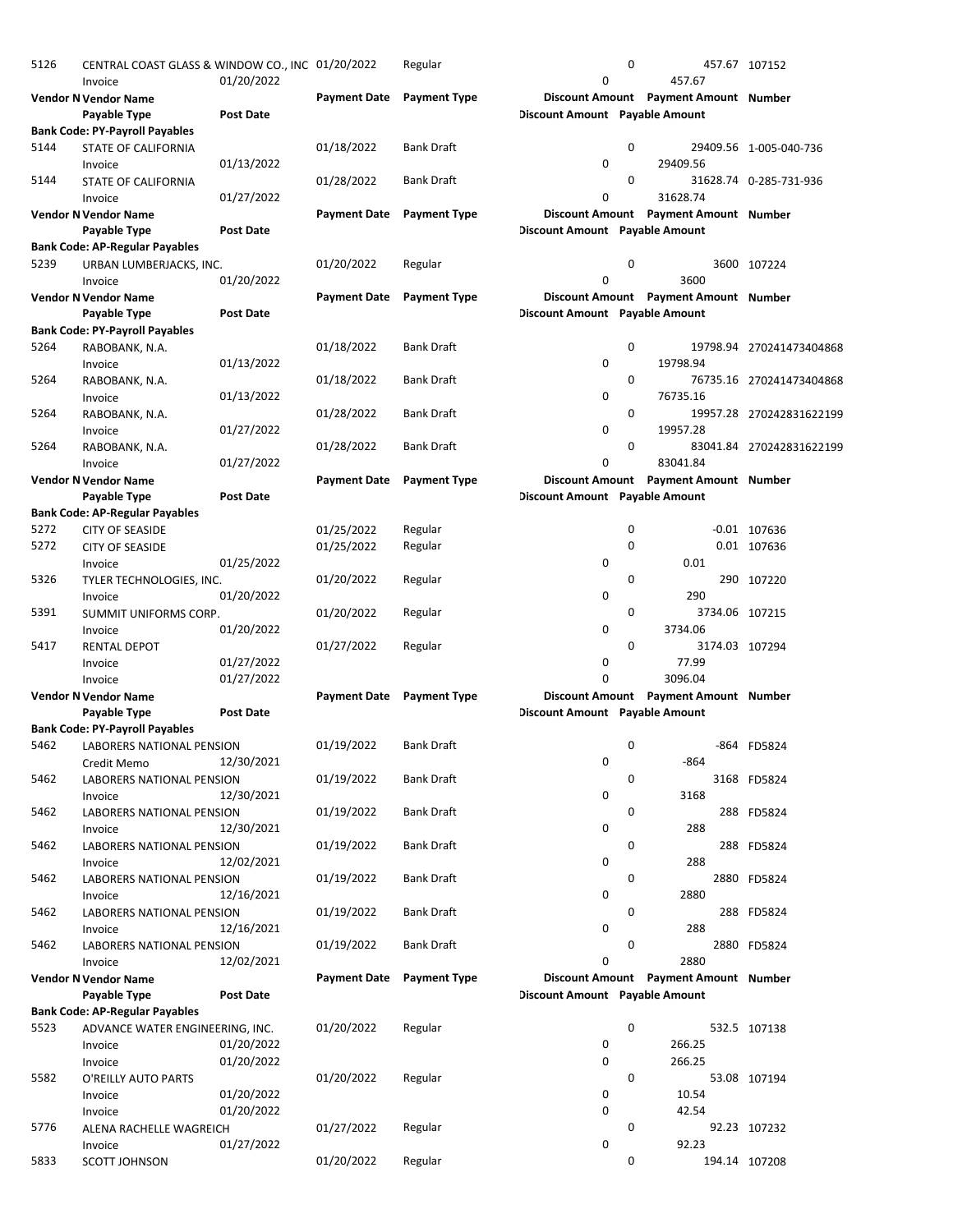| 5126 | CENTRAL COAST GLASS & WINDOW CO., INC 01/20/2022<br>Invoice | 01/20/2022       |                           | Regular             | 0                              | 0           | 457.67                                | 457.67 107152            |
|------|-------------------------------------------------------------|------------------|---------------------------|---------------------|--------------------------------|-------------|---------------------------------------|--------------------------|
|      | Vendor N Vendor Name                                        |                  | <b>Payment Date</b>       | <b>Payment Type</b> |                                |             | Discount Amount Payment Amount Number |                          |
|      | Payable Type                                                | Post Date        |                           |                     | Discount Amount Payable Amount |             |                                       |                          |
|      | <b>Bank Code: PY-Payroll Payables</b>                       |                  |                           |                     |                                |             |                                       |                          |
| 5144 | <b>STATE OF CALIFORNIA</b><br>Invoice                       | 01/13/2022       | 01/18/2022                | <b>Bank Draft</b>   | 0                              | 0           | 29409.56                              | 29409.56 1-005-040-736   |
| 5144 | <b>STATE OF CALIFORNIA</b><br>Invoice                       | 01/27/2022       | 01/28/2022                | <b>Bank Draft</b>   | 0                              | 0           | 31628.74                              | 31628.74 0-285-731-936   |
|      | <b>Vendor N Vendor Name</b>                                 |                  | <b>Payment Date</b>       | <b>Payment Type</b> |                                |             | Discount Amount Payment Amount Number |                          |
|      | Payable Type                                                | <b>Post Date</b> |                           |                     | Discount Amount Payable Amount |             |                                       |                          |
|      | <b>Bank Code: AP-Regular Payables</b>                       |                  |                           |                     |                                |             |                                       |                          |
| 5239 | URBAN LUMBERJACKS, INC.<br>Invoice                          |                  | 01/20/2022                | Regular             | 0                              | $\mathbf 0$ | 3600                                  | 3600 107224              |
|      |                                                             | 01/20/2022       | Payment Date Payment Type |                     |                                |             |                                       |                          |
|      | Vendor N Vendor Name                                        |                  |                           |                     |                                |             | Discount Amount Payment Amount Number |                          |
|      | Payable Type                                                | Post Date        |                           |                     | Discount Amount Payable Amount |             |                                       |                          |
|      | <b>Bank Code: PY-Payroll Payables</b>                       |                  |                           |                     |                                |             |                                       |                          |
| 5264 | RABOBANK, N.A.<br>Invoice                                   | 01/13/2022       | 01/18/2022                | <b>Bank Draft</b>   | 0                              | 0           | 19798.94                              | 19798.94 270241473404868 |
| 5264 | RABOBANK, N.A.                                              |                  | 01/18/2022                | <b>Bank Draft</b>   |                                | 0           |                                       | 76735.16 270241473404868 |
|      | Invoice                                                     | 01/13/2022       |                           |                     | 0                              |             | 76735.16                              |                          |
| 5264 |                                                             |                  | 01/28/2022                | <b>Bank Draft</b>   |                                | 0           |                                       | 19957.28 270242831622199 |
|      | RABOBANK, N.A.<br>Invoice                                   | 01/27/2022       |                           |                     | 0                              |             | 19957.28                              |                          |
| 5264 | RABOBANK, N.A.                                              |                  | 01/28/2022                | <b>Bank Draft</b>   |                                | 0           |                                       | 83041.84 270242831622199 |
|      | Invoice                                                     | 01/27/2022       |                           |                     | 0                              |             | 83041.84                              |                          |
|      | <b>Vendor N Vendor Name</b>                                 |                  | <b>Payment Date</b>       | <b>Payment Type</b> |                                |             | Discount Amount Payment Amount Number |                          |
|      | Payable Type                                                | <b>Post Date</b> |                           |                     | Discount Amount Payable Amount |             |                                       |                          |
|      | <b>Bank Code: AP-Regular Payables</b>                       |                  |                           |                     |                                |             |                                       |                          |
| 5272 | <b>CITY OF SEASIDE</b>                                      |                  | 01/25/2022                | Regular             |                                | 0           |                                       | $-0.01$ 107636           |
| 5272 |                                                             |                  |                           | Regular             |                                | 0           |                                       | 0.01 107636              |
|      | <b>CITY OF SEASIDE</b><br>Invoice                           | 01/25/2022       | 01/25/2022                |                     | 0                              |             | 0.01                                  |                          |
| 5326 |                                                             |                  |                           |                     |                                | 0           |                                       |                          |
|      | TYLER TECHNOLOGIES, INC.                                    |                  | 01/20/2022                | Regular             |                                |             |                                       | 290 107220               |
|      | Invoice                                                     | 01/20/2022       |                           |                     | 0                              | 0           | 290                                   |                          |
| 5391 | SUMMIT UNIFORMS CORP.                                       |                  | 01/20/2022                | Regular             |                                |             | 3734.06 107215                        |                          |
|      | Invoice                                                     | 01/20/2022       |                           |                     | 0                              |             | 3734.06                               |                          |
| 5417 | <b>RENTAL DEPOT</b>                                         |                  | 01/27/2022                | Regular             |                                | 0           | 3174.03 107294                        |                          |
|      | Invoice                                                     | 01/27/2022       |                           |                     | 0                              |             | 77.99                                 |                          |
|      | Invoice                                                     | 01/27/2022       |                           |                     | 0                              |             | 3096.04                               |                          |
|      | <b>Vendor N Vendor Name</b>                                 |                  | Payment Date Payment Type |                     |                                |             | Discount Amount Payment Amount Number |                          |
|      | Payable Type                                                | <b>Post Date</b> |                           |                     | Discount Amount Payable Amount |             |                                       |                          |
|      | <b>Bank Code: PY-Payroll Payables</b>                       |                  |                           |                     |                                |             |                                       |                          |
| 5462 | LABORERS NATIONAL PENSION                                   |                  | 01/19/2022                | <b>Bank Draft</b>   |                                | 0           |                                       | -864 FD5824              |
|      | Credit Memo                                                 | 12/30/2021       |                           |                     | 0                              |             | $-864$                                |                          |
| 5462 | <b>LABORERS NATIONAL PENSION</b>                            |                  | 01/19/2022                | Bank Draft          |                                | 0           |                                       | 3168 FD5824              |
|      | Invoice                                                     | 12/30/2021       |                           |                     | 0                              |             | 3168                                  |                          |
| 5462 | LABORERS NATIONAL PENSION                                   |                  | 01/19/2022                | <b>Bank Draft</b>   |                                | 0           |                                       | 288 FD5824               |
|      | Invoice                                                     | 12/30/2021       |                           |                     | 0                              |             | 288                                   |                          |
| 5462 | LABORERS NATIONAL PENSION                                   |                  | 01/19/2022                | <b>Bank Draft</b>   |                                | 0           |                                       | 288 FD5824               |
|      | Invoice                                                     | 12/02/2021       |                           |                     | 0                              |             | 288                                   |                          |
| 5462 | LABORERS NATIONAL PENSION                                   |                  | 01/19/2022                | <b>Bank Draft</b>   |                                | 0           |                                       | 2880 FD5824              |
|      | Invoice                                                     | 12/16/2021       |                           |                     | 0                              |             | 2880                                  |                          |
| 5462 | LABORERS NATIONAL PENSION                                   |                  | 01/19/2022                | <b>Bank Draft</b>   |                                | 0           |                                       | 288 FD5824               |
|      | Invoice                                                     | 12/16/2021       |                           |                     | 0                              |             | 288                                   |                          |
| 5462 | <b>LABORERS NATIONAL PENSION</b>                            |                  | 01/19/2022                | <b>Bank Draft</b>   |                                | 0           |                                       | 2880 FD5824              |
|      | Invoice                                                     | 12/02/2021       |                           |                     | 0                              |             | 2880                                  |                          |
|      | <b>Vendor N Vendor Name</b>                                 |                  | Payment Date Payment Type |                     |                                |             | Discount Amount Payment Amount Number |                          |
|      | Payable Type                                                | Post Date        |                           |                     | Discount Amount Payable Amount |             |                                       |                          |
|      | <b>Bank Code: AP-Regular Payables</b>                       |                  |                           |                     |                                |             |                                       |                          |
| 5523 | ADVANCE WATER ENGINEERING, INC.                             |                  | 01/20/2022                | Regular             |                                | 0           |                                       | 532.5 107138             |
|      | Invoice                                                     | 01/20/2022       |                           |                     | 0                              |             | 266.25                                |                          |
|      | Invoice                                                     | 01/20/2022       |                           |                     | 0                              |             | 266.25                                |                          |
| 5582 | O'REILLY AUTO PARTS                                         |                  | 01/20/2022                | Regular             |                                | 0           |                                       | 53.08 107194             |
|      | Invoice                                                     | 01/20/2022       |                           |                     | 0                              |             | 10.54                                 |                          |
|      | Invoice                                                     | 01/20/2022       |                           |                     | 0                              |             | 42.54                                 |                          |
| 5776 | ALENA RACHELLE WAGREICH                                     |                  | 01/27/2022                | Regular             |                                | 0           |                                       | 92.23 107232             |
|      | Invoice                                                     | 01/27/2022       |                           |                     | 0                              |             | 92.23                                 |                          |
| 5833 | SCOTT JOHNSON                                               |                  | 01/20/2022                | Regular             |                                | 0           |                                       | 194.14 107208            |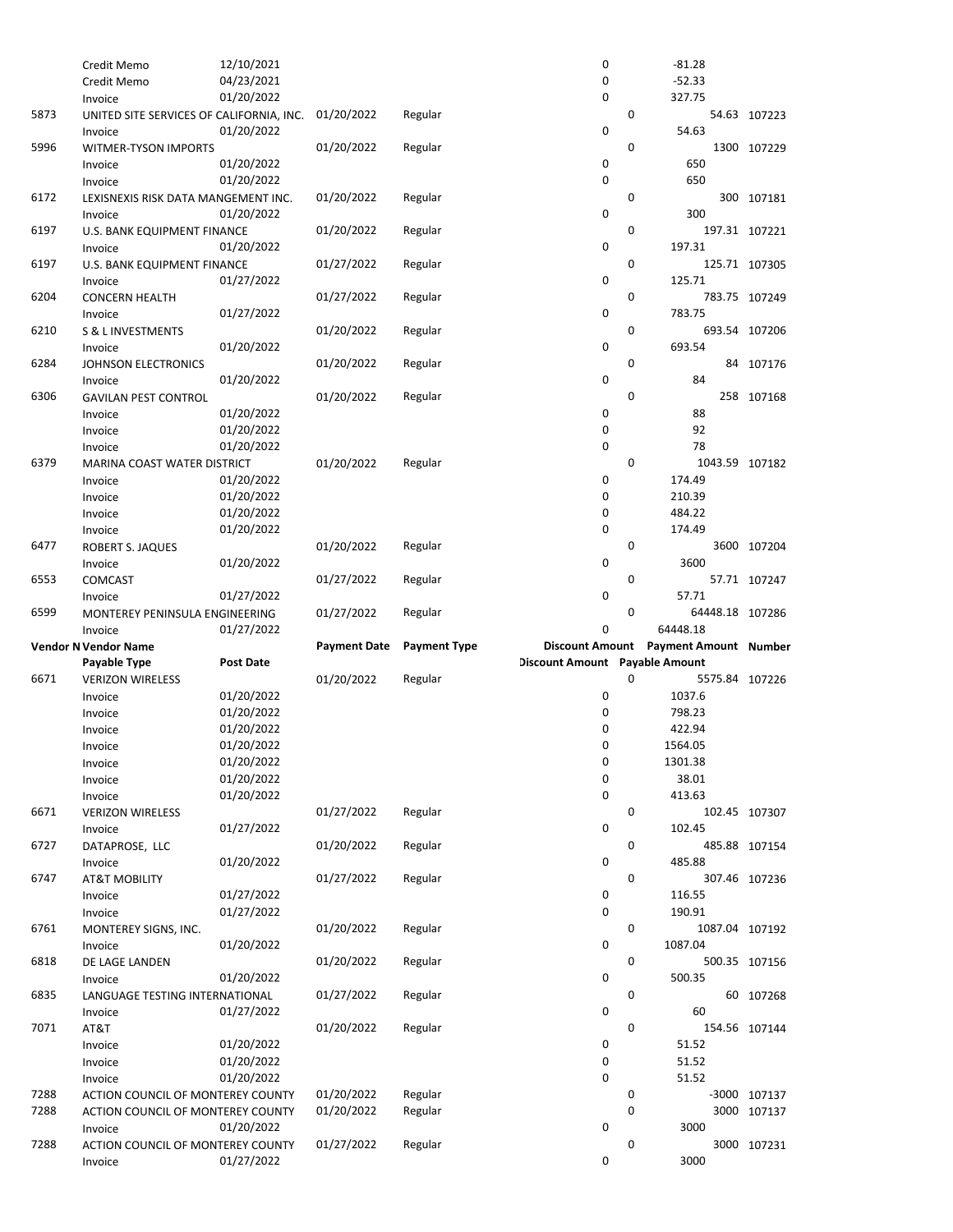|      | Credit Memo                              | 12/10/2021       |                     |                     | 0                              |             | $-81.28$                              |               |
|------|------------------------------------------|------------------|---------------------|---------------------|--------------------------------|-------------|---------------------------------------|---------------|
|      | Credit Memo                              | 04/23/2021       |                     |                     | 0                              |             | $-52.33$                              |               |
|      | Invoice                                  | 01/20/2022       |                     |                     | 0                              |             | 327.75                                |               |
| 5873 | UNITED SITE SERVICES OF CALIFORNIA, INC. |                  | 01/20/2022          | Regular             |                                | 0           |                                       | 54.63 107223  |
|      | Invoice                                  | 01/20/2022       |                     |                     | 0                              |             | 54.63                                 |               |
| 5996 | <b>WITMER-TYSON IMPORTS</b>              |                  | 01/20/2022          | Regular             |                                | $\mathbf 0$ |                                       | 1300 107229   |
|      | Invoice                                  | 01/20/2022       |                     |                     | 0                              |             | 650                                   |               |
|      | Invoice                                  | 01/20/2022       |                     |                     | 0                              |             | 650                                   |               |
| 6172 | LEXISNEXIS RISK DATA MANGEMENT INC.      |                  | 01/20/2022          | Regular             |                                | 0           |                                       | 300 107181    |
|      | Invoice                                  | 01/20/2022       |                     |                     | 0                              |             | 300                                   |               |
| 6197 | U.S. BANK EQUIPMENT FINANCE              |                  | 01/20/2022          | Regular             |                                | 0           |                                       | 197.31 107221 |
|      | Invoice                                  | 01/20/2022       |                     |                     | 0                              |             | 197.31                                |               |
| 6197 | U.S. BANK EQUIPMENT FINANCE              |                  | 01/27/2022          | Regular             |                                | 0           |                                       | 125.71 107305 |
|      | Invoice                                  | 01/27/2022       |                     |                     | 0                              |             | 125.71                                |               |
| 6204 | <b>CONCERN HEALTH</b>                    |                  | 01/27/2022          | Regular             |                                | $\mathbf 0$ |                                       | 783.75 107249 |
|      | Invoice                                  | 01/27/2022       |                     |                     | 0                              |             | 783.75                                |               |
| 6210 | S & L INVESTMENTS                        |                  | 01/20/2022          | Regular             |                                | 0           |                                       | 693.54 107206 |
|      | Invoice                                  | 01/20/2022       |                     |                     | 0                              |             | 693.54                                |               |
| 6284 | <b>JOHNSON ELECTRONICS</b>               |                  | 01/20/2022          | Regular             |                                | 0           |                                       | 84 107176     |
|      | Invoice                                  | 01/20/2022       |                     |                     | 0                              |             | 84                                    |               |
| 6306 | <b>GAVILAN PEST CONTROL</b>              |                  | 01/20/2022          | Regular             |                                | $\mathbf 0$ |                                       | 258 107168    |
|      | Invoice                                  | 01/20/2022       |                     |                     | 0                              |             | 88                                    |               |
|      | Invoice                                  | 01/20/2022       |                     |                     | 0                              |             | 92                                    |               |
|      | Invoice                                  | 01/20/2022       |                     |                     | 0                              |             | 78                                    |               |
| 6379 | MARINA COAST WATER DISTRICT              |                  | 01/20/2022          | Regular             |                                | 0           | 1043.59 107182                        |               |
|      | Invoice                                  | 01/20/2022       |                     |                     | 0                              |             | 174.49                                |               |
|      |                                          | 01/20/2022       |                     |                     | 0                              |             | 210.39                                |               |
|      | Invoice                                  | 01/20/2022       |                     |                     | 0                              |             | 484.22                                |               |
|      | Invoice                                  | 01/20/2022       |                     |                     | 0                              |             | 174.49                                |               |
| 6477 | Invoice                                  |                  | 01/20/2022          | Regular             |                                | $\mathbf 0$ |                                       |               |
|      | ROBERT S. JAQUES                         | 01/20/2022       |                     |                     | 0                              |             | 3600                                  | 3600 107204   |
|      | Invoice                                  |                  |                     |                     |                                | 0           |                                       |               |
| 6553 | COMCAST                                  |                  | 01/27/2022          | Regular             | 0                              |             |                                       | 57.71 107247  |
|      | Invoice                                  | 01/27/2022       |                     |                     |                                |             | 57.71                                 |               |
|      |                                          |                  |                     |                     |                                |             |                                       |               |
| 6599 | MONTEREY PENINSULA ENGINEERING           |                  | 01/27/2022          | Regular             |                                | 0           | 64448.18 107286                       |               |
|      | Invoice                                  | 01/27/2022       |                     |                     | $\mathbf 0$                    |             | 64448.18                              |               |
|      | <b>Vendor N Vendor Name</b>              |                  | <b>Payment Date</b> | <b>Payment Type</b> |                                |             | Discount Amount Payment Amount Number |               |
|      | Payable Type                             | <b>Post Date</b> |                     |                     | Discount Amount Payable Amount |             |                                       |               |
| 6671 | <b>VERIZON WIRELESS</b>                  |                  | 01/20/2022          | Regular             |                                | 0           | 5575.84 107226                        |               |
|      | Invoice                                  | 01/20/2022       |                     |                     | 0                              |             | 1037.6                                |               |
|      | Invoice                                  | 01/20/2022       |                     |                     | 0                              |             | 798.23                                |               |
|      | Invoice                                  | 01/20/2022       |                     |                     | 0                              |             | 422.94                                |               |
|      | Invoice                                  | 01/20/2022       |                     |                     | 0                              |             | 1564.05                               |               |
|      | Invoice                                  | 01/20/2022       |                     |                     | 0                              |             | 1301.38                               |               |
|      | Invoice                                  | 01/20/2022       |                     |                     | 0                              |             | 38.01                                 |               |
|      | Invoice                                  | 01/20/2022       |                     |                     | 0                              |             | 413.63                                |               |
| 6671 | <b>VERIZON WIRELESS</b>                  |                  | 01/27/2022          | Regular             |                                | 0           |                                       | 102.45 107307 |
|      | Invoice                                  | 01/27/2022       |                     |                     | 0                              |             | 102.45                                |               |
| 6727 | DATAPROSE, LLC                           |                  | 01/20/2022          | Regular             |                                | 0           |                                       | 485.88 107154 |
|      | Invoice                                  | 01/20/2022       |                     |                     | 0                              |             | 485.88                                |               |
| 6747 | <b>AT&amp;T MOBILITY</b>                 |                  | 01/27/2022          | Regular             |                                | 0           |                                       | 307.46 107236 |
|      | Invoice                                  | 01/27/2022       |                     |                     | 0                              |             | 116.55                                |               |
|      | Invoice                                  | 01/27/2022       |                     |                     | 0                              |             | 190.91                                |               |
| 6761 | MONTEREY SIGNS, INC.                     |                  | 01/20/2022          | Regular             |                                | 0           | 1087.04 107192                        |               |
|      | Invoice                                  | 01/20/2022       |                     |                     | 0                              |             | 1087.04                               |               |
| 6818 | DE LAGE LANDEN                           |                  | 01/20/2022          | Regular             |                                | 0           |                                       | 500.35 107156 |
|      | Invoice                                  | 01/20/2022       |                     |                     | 0                              |             | 500.35                                |               |
| 6835 | LANGUAGE TESTING INTERNATIONAL           |                  | 01/27/2022          | Regular             |                                | 0           |                                       | 60 107268     |
|      | Invoice                                  | 01/27/2022       |                     |                     | 0                              |             | 60                                    |               |
| 7071 | AT&T                                     |                  | 01/20/2022          | Regular             |                                | 0           |                                       | 154.56 107144 |
|      | Invoice                                  | 01/20/2022       |                     |                     | 0                              |             | 51.52                                 |               |
|      | Invoice                                  | 01/20/2022       |                     |                     | 0                              |             | 51.52                                 |               |
|      | Invoice                                  | 01/20/2022       |                     |                     | 0                              |             | 51.52                                 |               |
| 7288 | ACTION COUNCIL OF MONTEREY COUNTY        |                  | 01/20/2022          | Regular             |                                | 0           |                                       | -3000 107137  |
| 7288 | ACTION COUNCIL OF MONTEREY COUNTY        |                  | 01/20/2022          | Regular             |                                | 0           |                                       | 3000 107137   |
|      | Invoice                                  | 01/20/2022       |                     |                     | 0                              |             | 3000                                  |               |
| 7288 | ACTION COUNCIL OF MONTEREY COUNTY        |                  | 01/27/2022          | Regular             |                                | 0           |                                       | 3000 107231   |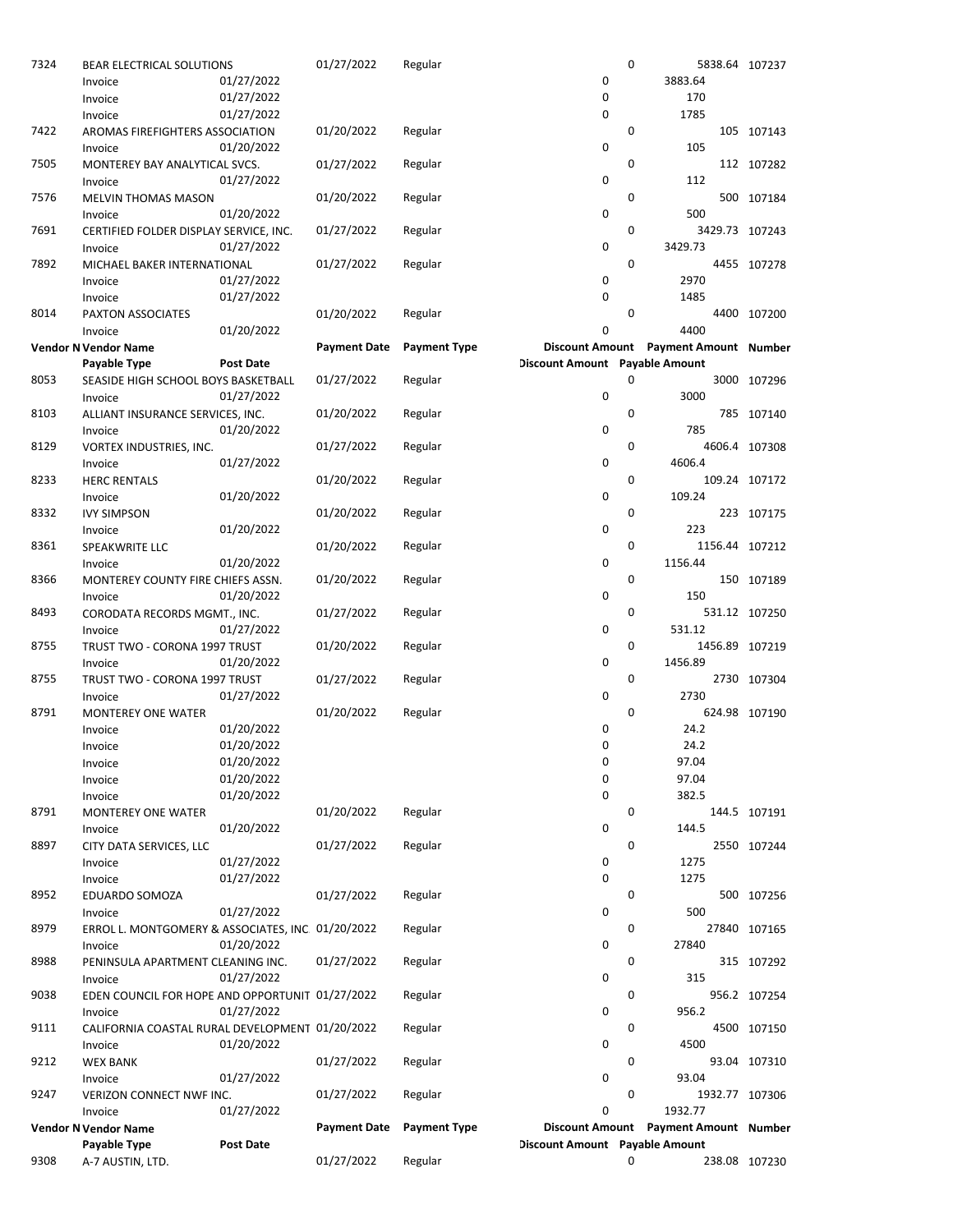| 7324 | BEAR ELECTRICAL SOLUTIONS                        |                  | 01/27/2022          | Regular             |                                | $\mathbf 0$ | 5838.64 107237                        |               |
|------|--------------------------------------------------|------------------|---------------------|---------------------|--------------------------------|-------------|---------------------------------------|---------------|
|      | Invoice                                          | 01/27/2022       |                     |                     | 0                              |             | 3883.64                               |               |
|      | Invoice                                          | 01/27/2022       |                     |                     | 0                              |             | 170                                   |               |
|      | Invoice                                          | 01/27/2022       |                     |                     | 0                              |             | 1785                                  |               |
| 7422 | AROMAS FIREFIGHTERS ASSOCIATION                  |                  | 01/20/2022          | Regular             |                                | 0           |                                       | 105 107143    |
|      | Invoice                                          | 01/20/2022       |                     |                     | 0                              |             | 105                                   |               |
| 7505 | MONTEREY BAY ANALYTICAL SVCS.                    |                  | 01/27/2022          | Regular             |                                | 0           |                                       | 112 107282    |
|      | Invoice                                          | 01/27/2022       |                     |                     | 0                              |             | 112                                   |               |
| 7576 | <b>MELVIN THOMAS MASON</b>                       |                  | 01/20/2022          | Regular             |                                | 0           |                                       | 500 107184    |
|      | Invoice                                          | 01/20/2022       |                     |                     | 0                              |             | 500                                   |               |
| 7691 | CERTIFIED FOLDER DISPLAY SERVICE, INC.           |                  | 01/27/2022          | Regular             |                                | 0           | 3429.73 107243                        |               |
|      | Invoice                                          | 01/27/2022       |                     |                     | 0                              |             | 3429.73                               |               |
| 7892 | MICHAEL BAKER INTERNATIONAL                      |                  | 01/27/2022          | Regular             |                                | 0           |                                       | 4455 107278   |
|      | Invoice                                          | 01/27/2022       |                     |                     | 0                              |             | 2970                                  |               |
|      | Invoice                                          | 01/27/2022       |                     |                     | 0                              |             | 1485                                  |               |
| 8014 | PAXTON ASSOCIATES                                |                  | 01/20/2022          | Regular             |                                | 0           |                                       | 4400 107200   |
|      | Invoice                                          | 01/20/2022       |                     |                     | 0                              |             | 4400                                  |               |
|      | <b>Vendor N Vendor Name</b>                      |                  | <b>Payment Date</b> | <b>Payment Type</b> |                                |             | Discount Amount Payment Amount Number |               |
|      | Payable Type                                     | Post Date        |                     |                     | Discount Amount Payable Amount |             |                                       |               |
| 8053 | SEASIDE HIGH SCHOOL BOYS BASKETBALL              |                  | 01/27/2022          | Regular             |                                | 0           |                                       | 3000 107296   |
|      | Invoice                                          | 01/27/2022       |                     |                     | 0                              |             | 3000                                  |               |
| 8103 | ALLIANT INSURANCE SERVICES, INC.                 |                  | 01/20/2022          | Regular             |                                | 0           |                                       | 785 107140    |
|      | Invoice                                          | 01/20/2022       |                     |                     | 0                              |             | 785                                   |               |
| 8129 | VORTEX INDUSTRIES, INC.                          |                  | 01/27/2022          | Regular             |                                | 0           |                                       | 4606.4 107308 |
|      | Invoice                                          | 01/27/2022       |                     |                     | 0                              | 0           | 4606.4                                |               |
| 8233 | <b>HERC RENTALS</b>                              |                  | 01/20/2022          | Regular             |                                |             |                                       | 109.24 107172 |
|      | Invoice                                          | 01/20/2022       |                     |                     | 0                              |             | 109.24                                |               |
| 8332 | <b>IVY SIMPSON</b>                               |                  | 01/20/2022          | Regular             |                                | 0           |                                       | 223 107175    |
|      | Invoice                                          | 01/20/2022       |                     |                     | 0                              | 0           | 223                                   |               |
| 8361 | SPEAKWRITE LLC                                   |                  | 01/20/2022          | Regular             | 0                              |             | 1156.44 107212<br>1156.44             |               |
| 8366 | Invoice                                          | 01/20/2022       |                     |                     |                                | 0           |                                       |               |
|      | MONTEREY COUNTY FIRE CHIEFS ASSN.                |                  | 01/20/2022          | Regular             | 0                              |             | 150                                   | 150 107189    |
| 8493 | Invoice                                          | 01/20/2022       | 01/27/2022          | Regular             |                                | 0           |                                       | 531.12 107250 |
|      | CORODATA RECORDS MGMT., INC.<br>Invoice          | 01/27/2022       |                     |                     | 0                              |             | 531.12                                |               |
| 8755 | TRUST TWO - CORONA 1997 TRUST                    |                  | 01/20/2022          | Regular             |                                | 0           | 1456.89 107219                        |               |
|      | Invoice                                          | 01/20/2022       |                     |                     | 0                              |             | 1456.89                               |               |
| 8755 | TRUST TWO - CORONA 1997 TRUST                    |                  | 01/27/2022          | Regular             |                                | 0           |                                       | 2730 107304   |
|      | Invoice                                          | 01/27/2022       |                     |                     | 0                              |             | 2730                                  |               |
| 8791 | <b>MONTEREY ONE WATER</b>                        |                  | 01/20/2022          | Regular             |                                | 0           |                                       | 624.98 107190 |
|      | Invoice                                          | 01/20/2022       |                     |                     | 0                              |             | 24.2                                  |               |
|      | Invoice                                          | 01/20/2022       |                     |                     | 0                              |             | 24.2                                  |               |
|      | Invoice                                          | 01/20/2022       |                     |                     | 0                              |             | 97.04                                 |               |
|      | Invoice                                          | 01/20/2022       |                     |                     | 0                              |             | 97.04                                 |               |
|      | Invoice                                          | 01/20/2022       |                     |                     | 0                              |             | 382.5                                 |               |
| 8791 | <b>MONTEREY ONE WATER</b>                        |                  | 01/20/2022          | Regular             |                                | 0           |                                       | 144.5 107191  |
|      | Invoice                                          | 01/20/2022       |                     |                     | 0                              |             | 144.5                                 |               |
| 8897 | CITY DATA SERVICES, LLC                          |                  | 01/27/2022          | Regular             |                                | 0           |                                       | 2550 107244   |
|      | Invoice                                          | 01/27/2022       |                     |                     | 0                              |             | 1275                                  |               |
|      | Invoice                                          | 01/27/2022       |                     |                     | 0                              |             | 1275                                  |               |
| 8952 | EDUARDO SOMOZA                                   |                  | 01/27/2022          | Regular             |                                | 0           |                                       | 500 107256    |
|      | Invoice                                          | 01/27/2022       |                     |                     | 0                              |             | 500                                   |               |
| 8979 | ERROL L. MONTGOMERY & ASSOCIATES, INC 01/20/2022 |                  |                     | Regular             |                                | 0           |                                       | 27840 107165  |
|      | Invoice                                          | 01/20/2022       |                     |                     | 0                              |             | 27840                                 |               |
| 8988 | PENINSULA APARTMENT CLEANING INC.                |                  | 01/27/2022          | Regular             |                                | 0           |                                       | 315 107292    |
|      | Invoice                                          | 01/27/2022       |                     |                     | 0                              |             | 315                                   |               |
| 9038 | EDEN COUNCIL FOR HOPE AND OPPORTUNIT 01/27/2022  |                  |                     | Regular             |                                | 0           |                                       | 956.2 107254  |
|      | Invoice                                          | 01/27/2022       |                     |                     | 0                              |             | 956.2                                 |               |
| 9111 | CALIFORNIA COASTAL RURAL DEVELOPMENT 01/20/2022  |                  |                     | Regular             |                                | 0           |                                       | 4500 107150   |
|      | Invoice                                          | 01/20/2022       |                     |                     | 0                              |             | 4500                                  |               |
| 9212 | <b>WEX BANK</b>                                  |                  | 01/27/2022          | Regular             |                                | 0           |                                       | 93.04 107310  |
|      | Invoice                                          | 01/27/2022       |                     |                     | 0                              |             | 93.04                                 |               |
| 9247 | VERIZON CONNECT NWF INC.                         |                  | 01/27/2022          | Regular             |                                | 0           | 1932.77 107306                        |               |
|      | Invoice                                          | 01/27/2022       |                     |                     | 0                              |             | 1932.77                               |               |
|      | <b>Vendor N Vendor Name</b>                      |                  | <b>Payment Date</b> | <b>Payment Type</b> |                                |             | Discount Amount Payment Amount Number |               |
|      | Payable Type                                     | <b>Post Date</b> |                     |                     | Discount Amount Payable Amount |             |                                       |               |
| 9308 | A-7 AUSTIN, LTD.                                 |                  | 01/27/2022          | Regular             |                                | 0           |                                       | 238.08 107230 |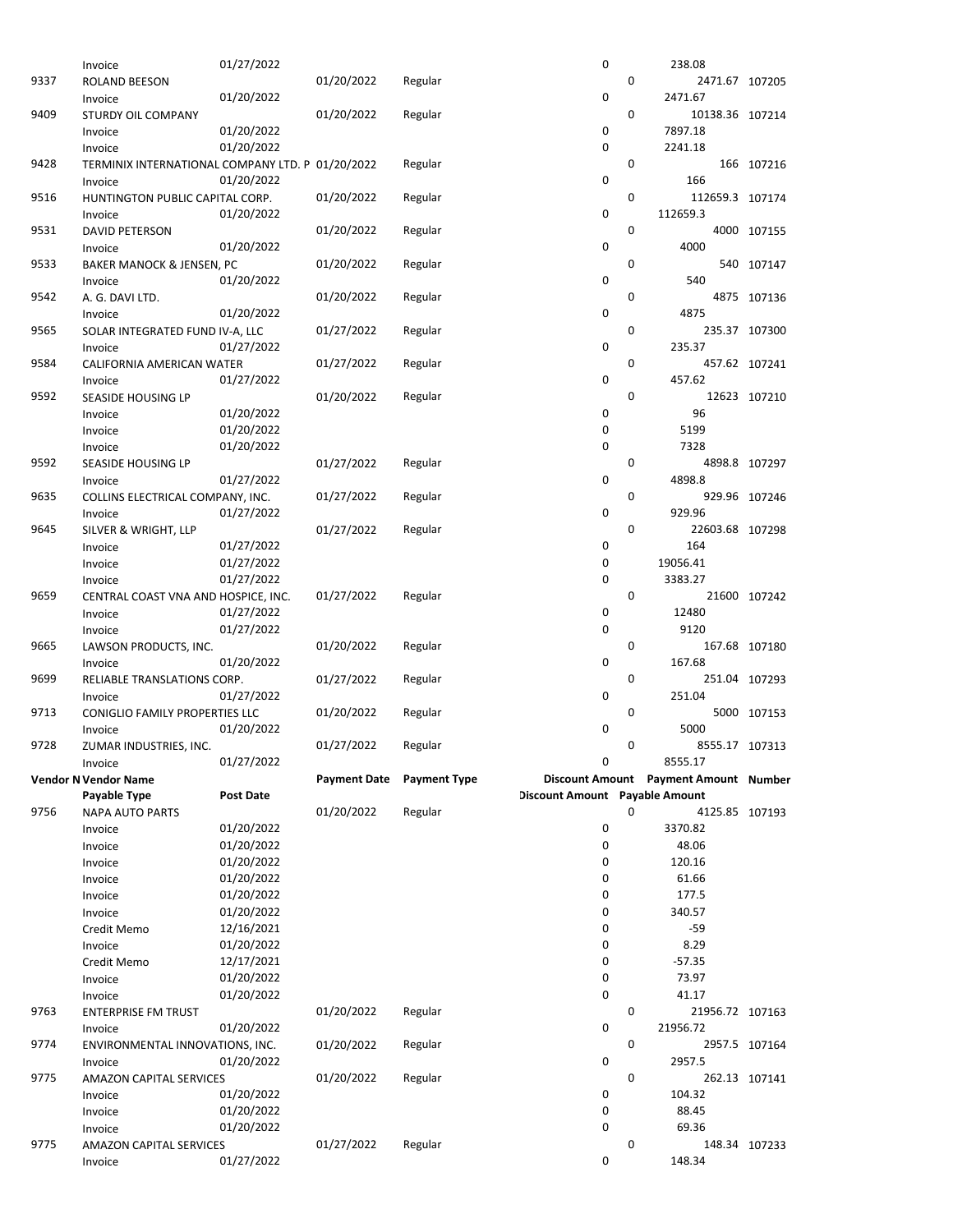|      | Invoice                                          | 01/27/2022 |                     |                     | 0                              |   | 238.08                                |               |
|------|--------------------------------------------------|------------|---------------------|---------------------|--------------------------------|---|---------------------------------------|---------------|
| 9337 | ROLAND BEESON                                    |            | 01/20/2022          | Regular             |                                | 0 | 2471.67 107205                        |               |
|      | Invoice                                          | 01/20/2022 |                     |                     | 0                              |   | 2471.67                               |               |
| 9409 | STURDY OIL COMPANY                               |            | 01/20/2022          | Regular             |                                | 0 | 10138.36 107214                       |               |
|      | Invoice                                          | 01/20/2022 |                     |                     | 0                              |   | 7897.18                               |               |
|      | Invoice                                          | 01/20/2022 |                     |                     | 0                              |   | 2241.18                               |               |
| 9428 | TERMINIX INTERNATIONAL COMPANY LTD. P 01/20/2022 |            |                     | Regular             |                                | 0 |                                       | 166 107216    |
|      | Invoice                                          | 01/20/2022 |                     |                     | 0                              |   | 166                                   |               |
| 9516 |                                                  |            |                     |                     |                                | 0 | 112659.3 107174                       |               |
|      | HUNTINGTON PUBLIC CAPITAL CORP.                  |            | 01/20/2022          | Regular             |                                |   |                                       |               |
|      | Invoice                                          | 01/20/2022 |                     |                     | 0                              |   | 112659.3                              |               |
| 9531 | <b>DAVID PETERSON</b>                            |            | 01/20/2022          | Regular             |                                | 0 |                                       | 4000 107155   |
|      | Invoice                                          | 01/20/2022 |                     |                     | 0                              |   | 4000                                  |               |
| 9533 | BAKER MANOCK & JENSEN, PC                        |            | 01/20/2022          | Regular             |                                | 0 |                                       | 540 107147    |
|      | Invoice                                          | 01/20/2022 |                     |                     | 0                              |   | 540                                   |               |
| 9542 | A. G. DAVI LTD.                                  |            | 01/20/2022          | Regular             |                                | 0 |                                       | 4875 107136   |
|      | Invoice                                          | 01/20/2022 |                     |                     | 0                              |   | 4875                                  |               |
| 9565 | SOLAR INTEGRATED FUND IV-A, LLC                  |            | 01/27/2022          | Regular             |                                | 0 |                                       | 235.37 107300 |
|      | Invoice                                          | 01/27/2022 |                     |                     | 0                              |   | 235.37                                |               |
| 9584 | CALIFORNIA AMERICAN WATER                        |            | 01/27/2022          | Regular             |                                | 0 |                                       | 457.62 107241 |
|      | Invoice                                          | 01/27/2022 |                     |                     | 0                              |   | 457.62                                |               |
| 9592 | <b>SEASIDE HOUSING LP</b>                        |            | 01/20/2022          | Regular             |                                | 0 |                                       | 12623 107210  |
|      | Invoice                                          | 01/20/2022 |                     |                     | 0                              |   | 96                                    |               |
|      | Invoice                                          | 01/20/2022 |                     |                     | 0                              |   | 5199                                  |               |
|      | Invoice                                          | 01/20/2022 |                     |                     | 0                              |   | 7328                                  |               |
| 9592 | SEASIDE HOUSING LP                               |            | 01/27/2022          | Regular             |                                | 0 |                                       | 4898.8 107297 |
|      | Invoice                                          | 01/27/2022 |                     |                     | 0                              |   | 4898.8                                |               |
| 9635 | COLLINS ELECTRICAL COMPANY, INC.                 |            | 01/27/2022          | Regular             |                                | 0 |                                       | 929.96 107246 |
|      | Invoice                                          | 01/27/2022 |                     |                     | 0                              |   | 929.96                                |               |
| 9645 | SILVER & WRIGHT, LLP                             |            | 01/27/2022          | Regular             |                                | 0 | 22603.68 107298                       |               |
|      |                                                  | 01/27/2022 |                     |                     | 0                              |   | 164                                   |               |
|      | Invoice                                          |            |                     |                     | 0                              |   | 19056.41                              |               |
|      | Invoice                                          | 01/27/2022 |                     |                     | 0                              |   |                                       |               |
|      | Invoice                                          | 01/27/2022 |                     |                     |                                |   | 3383.27                               |               |
| 9659 | CENTRAL COAST VNA AND HOSPICE, INC.              |            | 01/27/2022          | Regular             |                                | 0 |                                       | 21600 107242  |
|      | Invoice                                          | 01/27/2022 |                     |                     | 0                              |   | 12480                                 |               |
|      | Invoice                                          | 01/27/2022 |                     |                     | 0                              |   | 9120                                  |               |
| 9665 | LAWSON PRODUCTS, INC.                            |            | 01/20/2022          | Regular             |                                | 0 |                                       | 167.68 107180 |
|      | Invoice                                          | 01/20/2022 |                     |                     | 0                              |   | 167.68                                |               |
| 9699 | RELIABLE TRANSLATIONS CORP.                      |            | 01/27/2022          | Regular             |                                | 0 |                                       | 251.04 107293 |
|      | Invoice                                          | 01/27/2022 |                     |                     | 0                              |   | 251.04                                |               |
| 9713 | CONIGLIO FAMILY PROPERTIES LLC                   |            | 01/20/2022          | Regular             |                                | 0 |                                       | 5000 107153   |
|      | Invoice                                          | 01/20/2022 |                     |                     | 0                              |   | 5000                                  |               |
| 9728 | ZUMAR INDUSTRIES, INC.                           |            | 01/27/2022          | Regular             |                                | 0 | 8555.17 107313                        |               |
|      | Invoice                                          | 01/27/2022 |                     |                     | 0                              |   | 8555.17                               |               |
|      | <b>Vendor N Vendor Name</b>                      |            | <b>Payment Date</b> | <b>Payment Type</b> |                                |   | Discount Amount Payment Amount Number |               |
|      | Payable Type                                     | Post Date  |                     |                     | Discount Amount Payable Amount |   |                                       |               |
| 9756 | <b>NAPA AUTO PARTS</b>                           |            | 01/20/2022          | Regular             |                                | 0 | 4125.85 107193                        |               |
|      | Invoice                                          | 01/20/2022 |                     |                     | 0                              |   | 3370.82                               |               |
|      | Invoice                                          | 01/20/2022 |                     |                     | 0                              |   | 48.06                                 |               |
|      | Invoice                                          | 01/20/2022 |                     |                     | 0                              |   | 120.16                                |               |
|      | Invoice                                          | 01/20/2022 |                     |                     | 0                              |   | 61.66                                 |               |
|      | Invoice                                          | 01/20/2022 |                     |                     | 0                              |   | 177.5                                 |               |
|      | Invoice                                          | 01/20/2022 |                     |                     | 0                              |   | 340.57                                |               |
|      | Credit Memo                                      | 12/16/2021 |                     |                     | 0                              |   | -59                                   |               |
|      | Invoice                                          | 01/20/2022 |                     |                     | 0                              |   | 8.29                                  |               |
|      |                                                  | 12/17/2021 |                     |                     | 0                              |   | $-57.35$                              |               |
|      | Credit Memo                                      |            |                     |                     |                                |   |                                       |               |
|      | Invoice                                          | 01/20/2022 |                     |                     | 0                              |   | 73.97                                 |               |
|      | Invoice                                          | 01/20/2022 |                     |                     | 0                              |   | 41.17                                 |               |
| 9763 | <b>ENTERPRISE FM TRUST</b>                       |            | 01/20/2022          | Regular             |                                | 0 | 21956.72 107163                       |               |
|      | Invoice                                          | 01/20/2022 |                     |                     | 0                              |   | 21956.72                              |               |
| 9774 | ENVIRONMENTAL INNOVATIONS, INC.                  |            | 01/20/2022          | Regular             |                                | 0 |                                       | 2957.5 107164 |
|      | Invoice                                          | 01/20/2022 |                     |                     | 0                              |   | 2957.5                                |               |
| 9775 |                                                  |            |                     |                     |                                | 0 |                                       |               |
|      | <b>AMAZON CAPITAL SERVICES</b>                   |            | 01/20/2022          | Regular             |                                |   | 262.13 107141                         |               |
|      | Invoice                                          | 01/20/2022 |                     |                     | 0                              |   | 104.32                                |               |
|      | Invoice                                          | 01/20/2022 |                     |                     | 0                              |   | 88.45                                 |               |
|      | Invoice                                          | 01/20/2022 |                     |                     | 0                              |   | 69.36                                 |               |
| 9775 | <b>AMAZON CAPITAL SERVICES</b>                   | 01/27/2022 | 01/27/2022          | Regular             | 0                              | 0 | 148.34                                | 148.34 107233 |